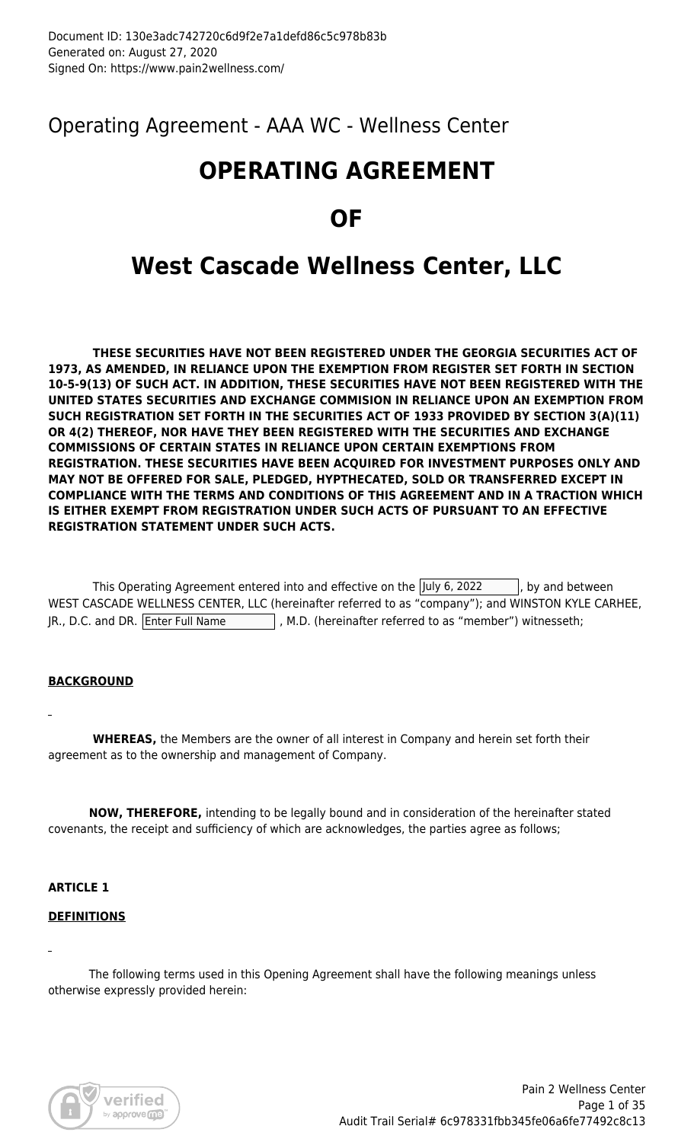Operating Agreement - AAA WC - Wellness Center

# **OPERATING AGREEMENT**

# **OF**

# **West Cascade Wellness Center, LLC**

 **THESE SECURITIES HAVE NOT BEEN REGISTERED UNDER THE GEORGIA SECURITIES ACT OF 1973, AS AMENDED, IN RELIANCE UPON THE EXEMPTION FROM REGISTER SET FORTH IN SECTION 10-5-9(13) OF SUCH ACT. IN ADDITION, THESE SECURITIES HAVE NOT BEEN REGISTERED WITH THE UNITED STATES SECURITIES AND EXCHANGE COMMISION IN RELIANCE UPON AN EXEMPTION FROM SUCH REGISTRATION SET FORTH IN THE SECURITIES ACT OF 1933 PROVIDED BY SECTION 3(A)(11) OR 4(2) THEREOF, NOR HAVE THEY BEEN REGISTERED WITH THE SECURITIES AND EXCHANGE COMMISSIONS OF CERTAIN STATES IN RELIANCE UPON CERTAIN EXEMPTIONS FROM REGISTRATION. THESE SECURITIES HAVE BEEN ACQUIRED FOR INVESTMENT PURPOSES ONLY AND MAY NOT BE OFFERED FOR SALE, PLEDGED, HYPTHECATED, SOLD OR TRANSFERRED EXCEPT IN COMPLIANCE WITH THE TERMS AND CONDITIONS OF THIS AGREEMENT AND IN A TRACTION WHICH IS EITHER EXEMPT FROM REGISTRATION UNDER SUCH ACTS OF PURSUANT TO AN EFFECTIVE REGISTRATION STATEMENT UNDER SUCH ACTS.**

|                                   | This Operating Agreement entered into and effective on the July 6, 2022                            | $\vert$ , by and between |
|-----------------------------------|----------------------------------------------------------------------------------------------------|--------------------------|
|                                   | WEST CASCADE WELLNESS CENTER, LLC (hereinafter referred to as "company"); and WINSTON KYLE CARHEE, |                          |
| JR., D.C. and DR. Enter Full Name | , M.D. (hereinafter referred to as "member") witnesseth;                                           |                          |

# **BACKGROUND**

 **WHEREAS,** the Members are the owner of all interest in Company and herein set forth their agreement as to the ownership and management of Company.

 **NOW, THEREFORE,** intending to be legally bound and in consideration of the hereinafter stated covenants, the receipt and sufficiency of which are acknowledges, the parties agree as follows;

# **ARTICLE 1**

# **DEFINITIONS**

 The following terms used in this Opening Agreement shall have the following meanings unless otherwise expressly provided herein:

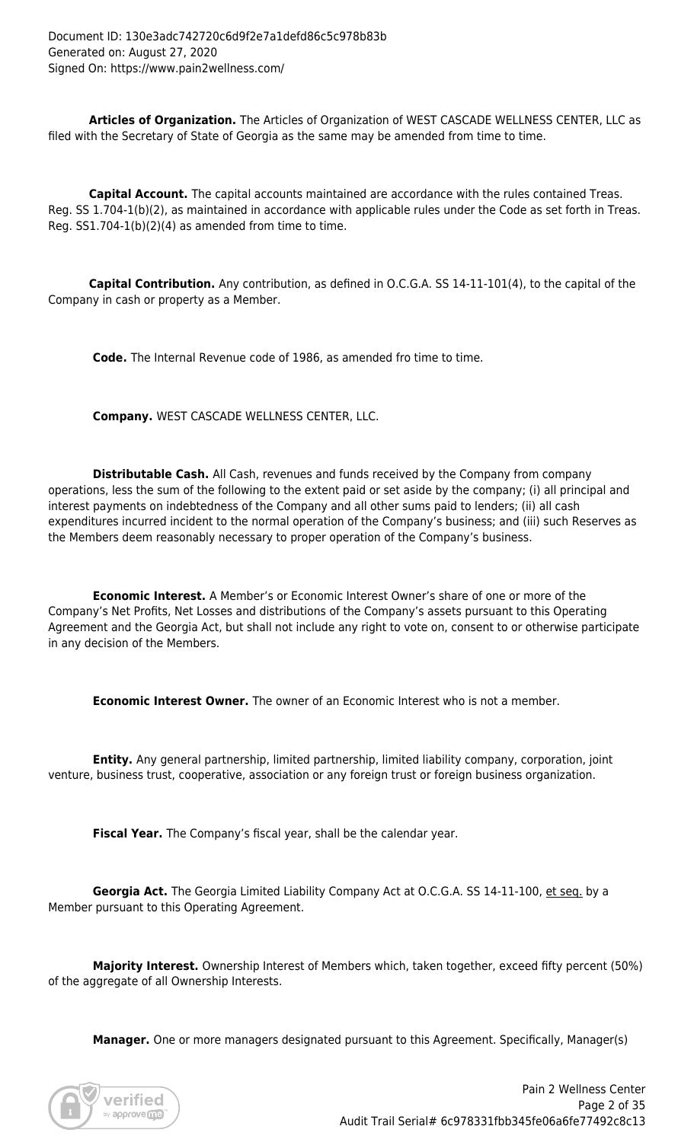**Articles of Organization.** The Articles of Organization of WEST CASCADE WELLNESS CENTER, LLC as filed with the Secretary of State of Georgia as the same may be amended from time to time.

 **Capital Account.** The capital accounts maintained are accordance with the rules contained Treas. Reg. SS 1.704-1(b)(2), as maintained in accordance with applicable rules under the Code as set forth in Treas. Reg. SS1.704-1(b)(2)(4) as amended from time to time.

 **Capital Contribution.** Any contribution, as defined in O.C.G.A. SS 14-11-101(4), to the capital of the Company in cash or property as a Member.

**Code.** The Internal Revenue code of 1986, as amended fro time to time.

 **Company.** WEST CASCADE WELLNESS CENTER, LLC.

 **Distributable Cash.** All Cash, revenues and funds received by the Company from company operations, less the sum of the following to the extent paid or set aside by the company; (i) all principal and interest payments on indebtedness of the Company and all other sums paid to lenders; (ii) all cash expenditures incurred incident to the normal operation of the Company's business; and (iii) such Reserves as the Members deem reasonably necessary to proper operation of the Company's business.

 **Economic Interest.** A Member's or Economic Interest Owner's share of one or more of the Company's Net Profits, Net Losses and distributions of the Company's assets pursuant to this Operating Agreement and the Georgia Act, but shall not include any right to vote on, consent to or otherwise participate in any decision of the Members.

 **Economic Interest Owner.** The owner of an Economic Interest who is not a member.

 **Entity.** Any general partnership, limited partnership, limited liability company, corporation, joint venture, business trust, cooperative, association or any foreign trust or foreign business organization.

 **Fiscal Year.** The Company's fiscal year, shall be the calendar year.

Georgia Act. The Georgia Limited Liability Company Act at O.C.G.A. SS 14-11-100, et seq. by a Member pursuant to this Operating Agreement.

 **Majority Interest.** Ownership Interest of Members which, taken together, exceed fifty percent (50%) of the aggregate of all Ownership Interests.

**Manager.** One or more managers designated pursuant to this Agreement. Specifically, Manager(s)

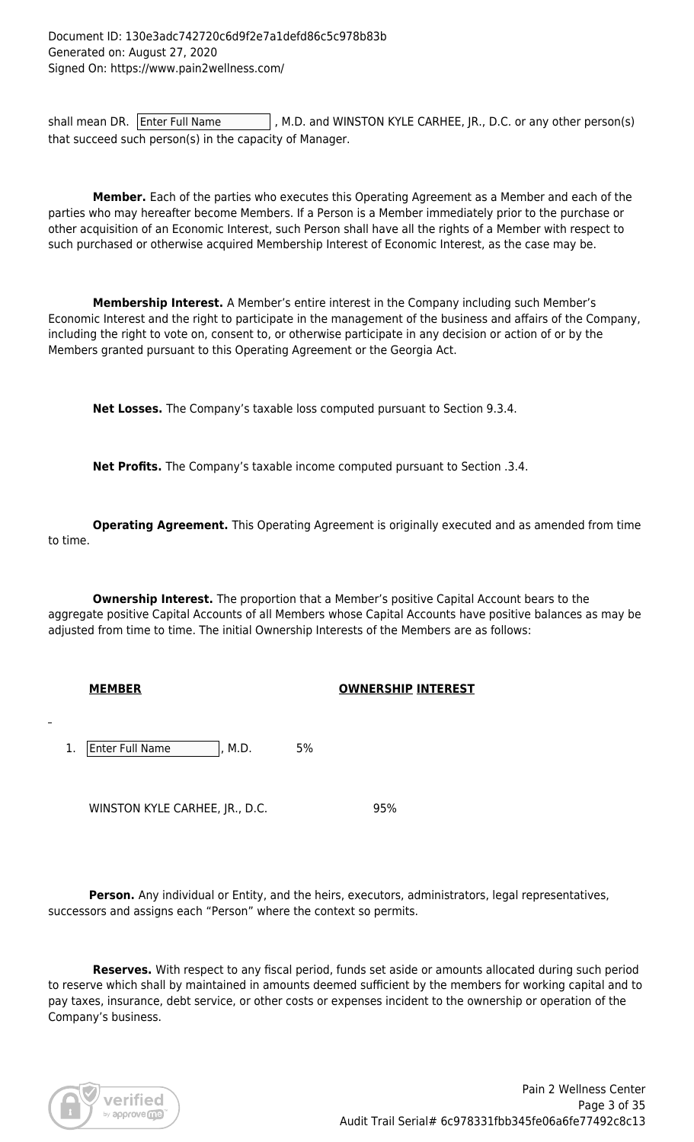shall mean DR. Enter Full Name  $\vert$ , M.D. and WINSTON KYLE CARHEE, JR., D.C. or any other person(s) that succeed such person(s) in the capacity of Manager.

 **Member.** Each of the parties who executes this Operating Agreement as a Member and each of the parties who may hereafter become Members. If a Person is a Member immediately prior to the purchase or other acquisition of an Economic Interest, such Person shall have all the rights of a Member with respect to such purchased or otherwise acquired Membership Interest of Economic Interest, as the case may be.

 **Membership Interest.** A Member's entire interest in the Company including such Member's Economic Interest and the right to participate in the management of the business and affairs of the Company, including the right to vote on, consent to, or otherwise participate in any decision or action of or by the Members granted pursuant to this Operating Agreement or the Georgia Act.

 **Net Losses.** The Company's taxable loss computed pursuant to Section 9.3.4.

 **Net Profits.** The Company's taxable income computed pursuant to Section .3.4.

 **Operating Agreement.** This Operating Agreement is originally executed and as amended from time to time.

**Ownership Interest.** The proportion that a Member's positive Capital Account bears to the aggregate positive Capital Accounts of all Members whose Capital Accounts have positive balances as may be adjusted from time to time. The initial Ownership Interests of the Members are as follows:

# **MEMBER OWNERSHIP INTEREST**

1. Enter Full Name  $\vert$ , M.D. 5%

WINSTON KYLE CARHEE, JR., D.C. 95%

Person. Any individual or Entity, and the heirs, executors, administrators, legal representatives, successors and assigns each "Person" where the context so permits.

 **Reserves.** With respect to any fiscal period, funds set aside or amounts allocated during such period to reserve which shall by maintained in amounts deemed sufficient by the members for working capital and to pay taxes, insurance, debt service, or other costs or expenses incident to the ownership or operation of the Company's business.

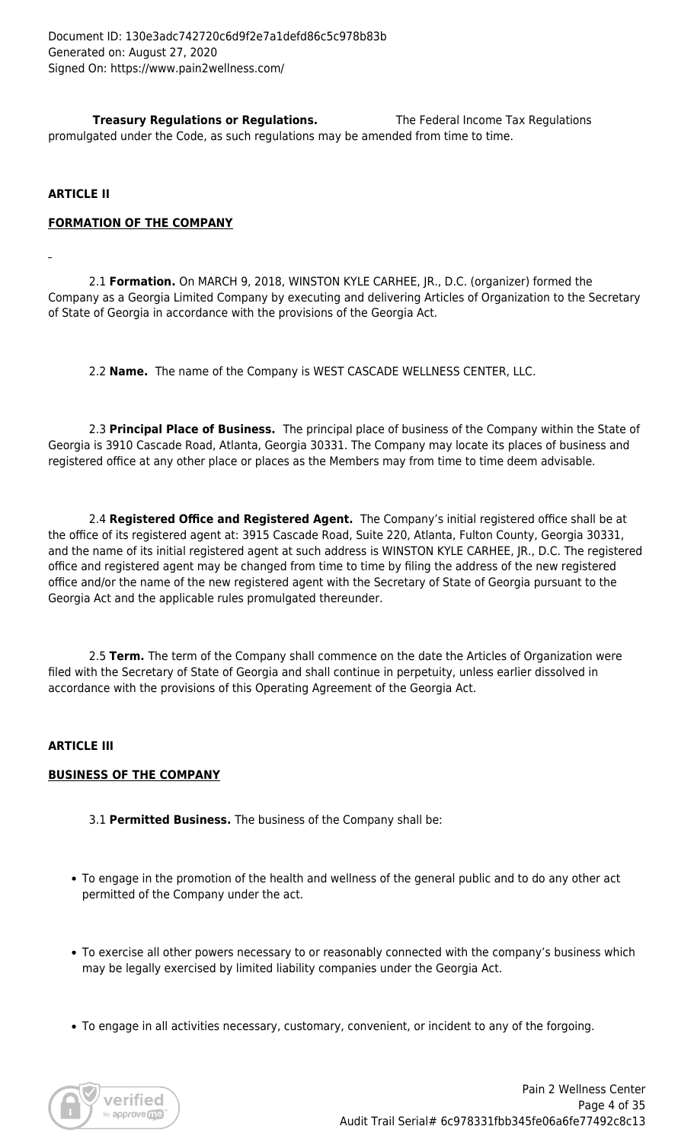**Treasury Regulations or Regulations.** The Federal Income Tax Regulations promulgated under the Code, as such regulations may be amended from time to time.

### **ARTICLE II**

#### **FORMATION OF THE COMPANY**

 2.1 **Formation.** On MARCH 9, 2018, WINSTON KYLE CARHEE, JR., D.C. (organizer) formed the Company as a Georgia Limited Company by executing and delivering Articles of Organization to the Secretary of State of Georgia in accordance with the provisions of the Georgia Act.

2.2 **Name.** The name of the Company is WEST CASCADE WELLNESS CENTER, LLC.

 2.3 **Principal Place of Business.** The principal place of business of the Company within the State of Georgia is 3910 Cascade Road, Atlanta, Georgia 30331. The Company may locate its places of business and registered office at any other place or places as the Members may from time to time deem advisable.

 2.4 **Registered Office and Registered Agent.** The Company's initial registered office shall be at the office of its registered agent at: 3915 Cascade Road, Suite 220, Atlanta, Fulton County, Georgia 30331, and the name of its initial registered agent at such address is WINSTON KYLE CARHEE, JR., D.C. The registered office and registered agent may be changed from time to time by filing the address of the new registered office and/or the name of the new registered agent with the Secretary of State of Georgia pursuant to the Georgia Act and the applicable rules promulgated thereunder.

 2.5 **Term.** The term of the Company shall commence on the date the Articles of Organization were filed with the Secretary of State of Georgia and shall continue in perpetuity, unless earlier dissolved in accordance with the provisions of this Operating Agreement of the Georgia Act.

#### **ARTICLE III**

#### **BUSINESS OF THE COMPANY**

- 3.1 **Permitted Business.** The business of the Company shall be:
- To engage in the promotion of the health and wellness of the general public and to do any other act permitted of the Company under the act.
- To exercise all other powers necessary to or reasonably connected with the company's business which may be legally exercised by limited liability companies under the Georgia Act.
- To engage in all activities necessary, customary, convenient, or incident to any of the forgoing.

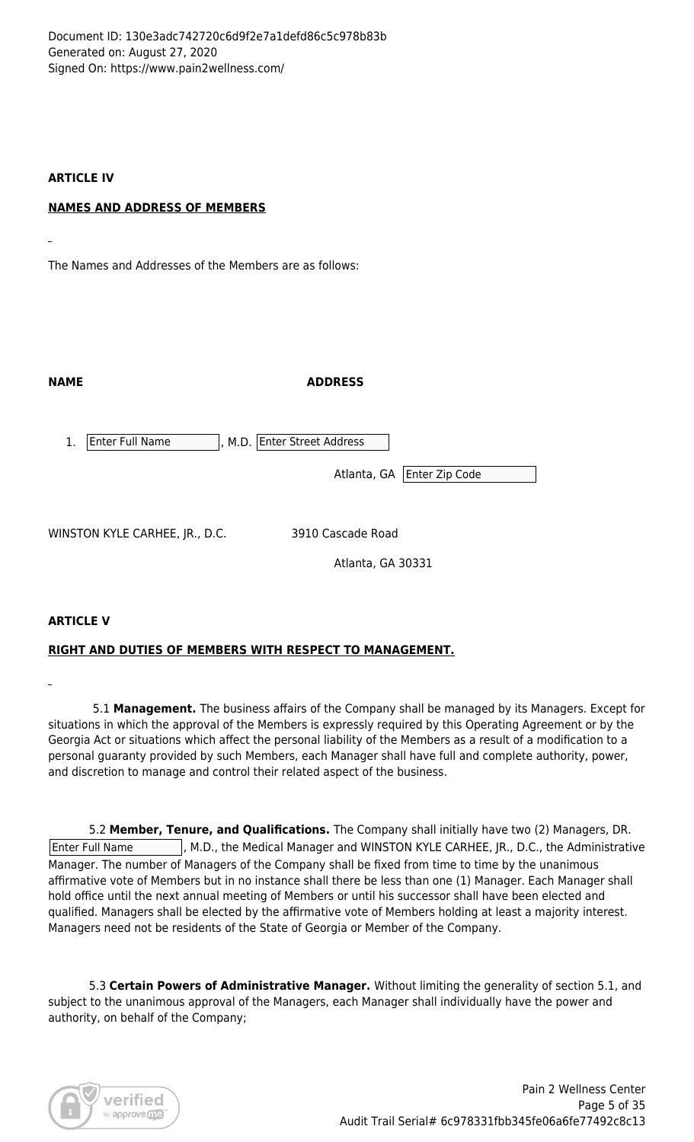Document ID: 130e3adc742720c6d9f2e7a1defd86c5c978b83b Generated on: August 27, 2020 Signed On: https://www.pain2wellness.com/

### **ARTICLE IV**

# **NAMES AND ADDRESS OF MEMBERS**

The Names and Addresses of the Members are as follows:

| <b>NAME</b>                    | <b>ADDRESS</b>                                               |  |
|--------------------------------|--------------------------------------------------------------|--|
| Enter Full Name<br>1.          | , M.D. Enter Street Address<br>Enter Zip Code<br>Atlanta, GA |  |
| WINSTON KYLE CARHEE, JR., D.C. | 3910 Cascade Road<br>Atlanta, GA 30331                       |  |

# **ARTICLE V**

# **RIGHT AND DUTIES OF MEMBERS WITH RESPECT TO MANAGEMENT.**

5.1 **Management.** The business affairs of the Company shall be managed by its Managers. Except for situations in which the approval of the Members is expressly required by this Operating Agreement or by the Georgia Act or situations which affect the personal liability of the Members as a result of a modification to a personal guaranty provided by such Members, each Manager shall have full and complete authority, power, and discretion to manage and control their related aspect of the business.

 5.2 **Member, Tenure, and Qualifications.** The Company shall initially have two (2) Managers, DR. Enter Full Name |, M.D., the Medical Manager and WINSTON KYLE CARHEE, JR., D.C., the Administrative Manager. The number of Managers of the Company shall be fixed from time to time by the unanimous affirmative vote of Members but in no instance shall there be less than one (1) Manager. Each Manager shall hold office until the next annual meeting of Members or until his successor shall have been elected and qualified. Managers shall be elected by the affirmative vote of Members holding at least a majority interest. Managers need not be residents of the State of Georgia or Member of the Company.

 5.3 **Certain Powers of Administrative Manager.** Without limiting the generality of section 5.1, and subject to the unanimous approval of the Managers, each Manager shall individually have the power and authority, on behalf of the Company;

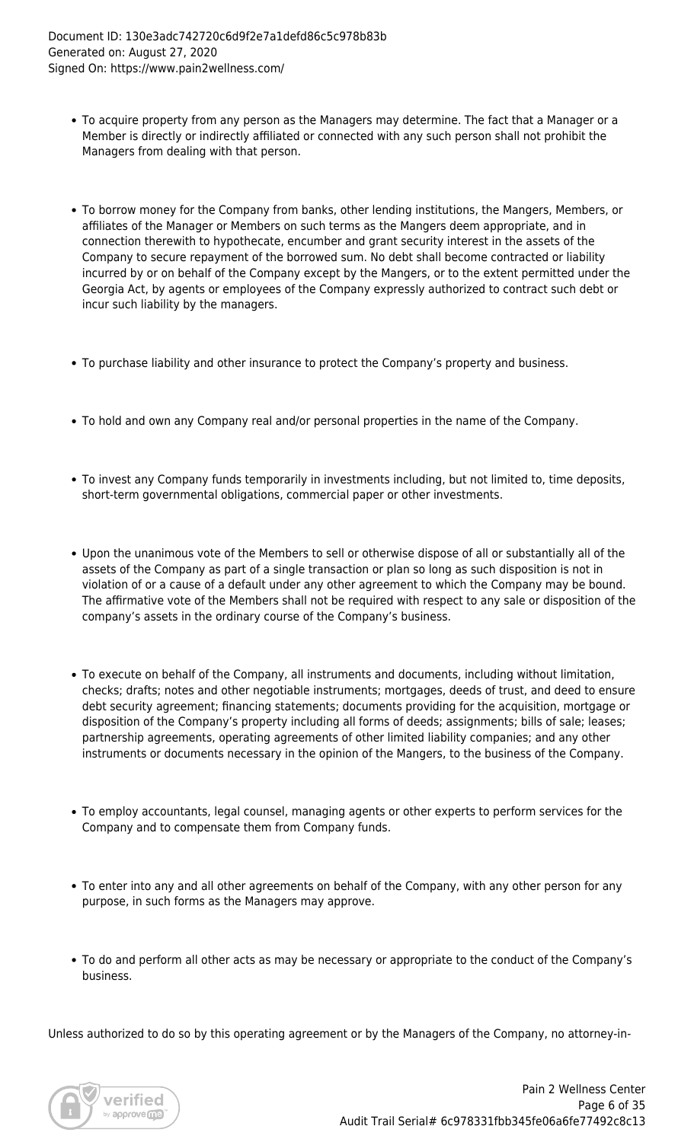- To acquire property from any person as the Managers may determine. The fact that a Manager or a Member is directly or indirectly affiliated or connected with any such person shall not prohibit the Managers from dealing with that person.
- To borrow money for the Company from banks, other lending institutions, the Mangers, Members, or affiliates of the Manager or Members on such terms as the Mangers deem appropriate, and in connection therewith to hypothecate, encumber and grant security interest in the assets of the Company to secure repayment of the borrowed sum. No debt shall become contracted or liability incurred by or on behalf of the Company except by the Mangers, or to the extent permitted under the Georgia Act, by agents or employees of the Company expressly authorized to contract such debt or incur such liability by the managers.
- To purchase liability and other insurance to protect the Company's property and business.
- To hold and own any Company real and/or personal properties in the name of the Company.
- To invest any Company funds temporarily in investments including, but not limited to, time deposits, short-term governmental obligations, commercial paper or other investments.
- Upon the unanimous vote of the Members to sell or otherwise dispose of all or substantially all of the assets of the Company as part of a single transaction or plan so long as such disposition is not in violation of or a cause of a default under any other agreement to which the Company may be bound. The affirmative vote of the Members shall not be required with respect to any sale or disposition of the company's assets in the ordinary course of the Company's business.
- To execute on behalf of the Company, all instruments and documents, including without limitation, checks; drafts; notes and other negotiable instruments; mortgages, deeds of trust, and deed to ensure debt security agreement; financing statements; documents providing for the acquisition, mortgage or disposition of the Company's property including all forms of deeds; assignments; bills of sale; leases; partnership agreements, operating agreements of other limited liability companies; and any other instruments or documents necessary in the opinion of the Mangers, to the business of the Company.
- To employ accountants, legal counsel, managing agents or other experts to perform services for the Company and to compensate them from Company funds.
- To enter into any and all other agreements on behalf of the Company, with any other person for any purpose, in such forms as the Managers may approve.
- To do and perform all other acts as may be necessary or appropriate to the conduct of the Company's business.

Unless authorized to do so by this operating agreement or by the Managers of the Company, no attorney-in-

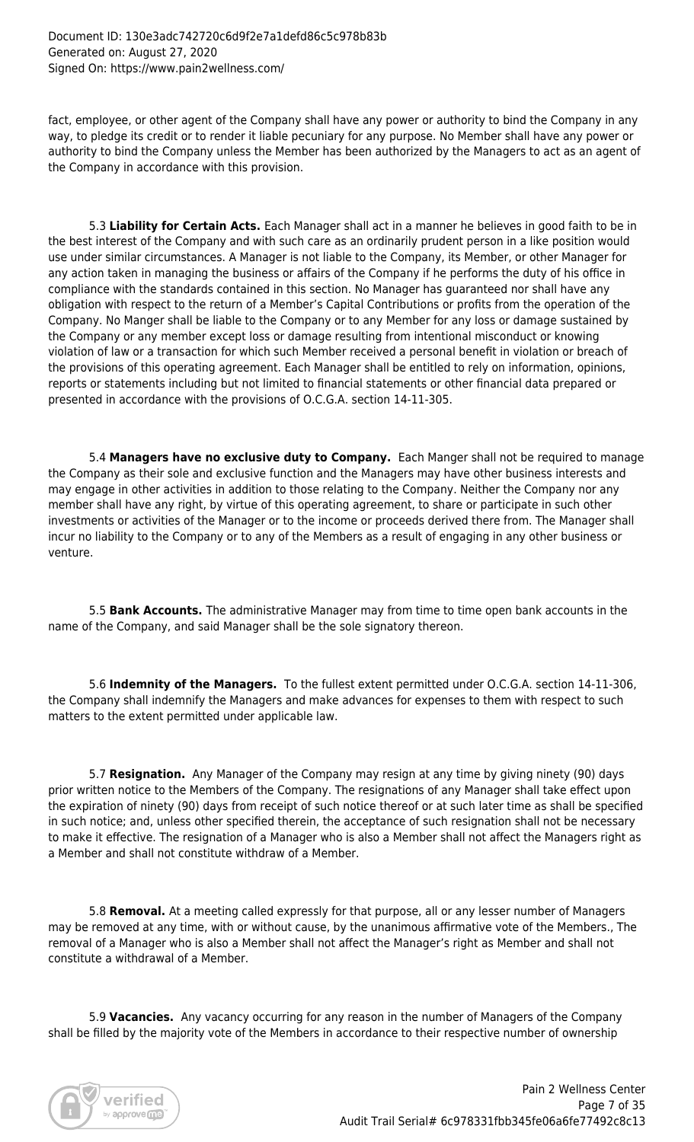fact, employee, or other agent of the Company shall have any power or authority to bind the Company in any way, to pledge its credit or to render it liable pecuniary for any purpose. No Member shall have any power or authority to bind the Company unless the Member has been authorized by the Managers to act as an agent of the Company in accordance with this provision.

 5.3 **Liability for Certain Acts.** Each Manager shall act in a manner he believes in good faith to be in the best interest of the Company and with such care as an ordinarily prudent person in a like position would use under similar circumstances. A Manager is not liable to the Company, its Member, or other Manager for any action taken in managing the business or affairs of the Company if he performs the duty of his office in compliance with the standards contained in this section. No Manager has guaranteed nor shall have any obligation with respect to the return of a Member's Capital Contributions or profits from the operation of the Company. No Manger shall be liable to the Company or to any Member for any loss or damage sustained by the Company or any member except loss or damage resulting from intentional misconduct or knowing violation of law or a transaction for which such Member received a personal benefit in violation or breach of the provisions of this operating agreement. Each Manager shall be entitled to rely on information, opinions, reports or statements including but not limited to financial statements or other financial data prepared or presented in accordance with the provisions of O.C.G.A. section 14-11-305.

 5.4 **Managers have no exclusive duty to Company.** Each Manger shall not be required to manage the Company as their sole and exclusive function and the Managers may have other business interests and may engage in other activities in addition to those relating to the Company. Neither the Company nor any member shall have any right, by virtue of this operating agreement, to share or participate in such other investments or activities of the Manager or to the income or proceeds derived there from. The Manager shall incur no liability to the Company or to any of the Members as a result of engaging in any other business or venture.

 5.5 **Bank Accounts.** The administrative Manager may from time to time open bank accounts in the name of the Company, and said Manager shall be the sole signatory thereon.

 5.6 **Indemnity of the Managers.** To the fullest extent permitted under O.C.G.A. section 14-11-306, the Company shall indemnify the Managers and make advances for expenses to them with respect to such matters to the extent permitted under applicable law.

 5.7 **Resignation.** Any Manager of the Company may resign at any time by giving ninety (90) days prior written notice to the Members of the Company. The resignations of any Manager shall take effect upon the expiration of ninety (90) days from receipt of such notice thereof or at such later time as shall be specified in such notice; and, unless other specified therein, the acceptance of such resignation shall not be necessary to make it effective. The resignation of a Manager who is also a Member shall not affect the Managers right as a Member and shall not constitute withdraw of a Member.

 5.8 **Removal.** At a meeting called expressly for that purpose, all or any lesser number of Managers may be removed at any time, with or without cause, by the unanimous affirmative vote of the Members., The removal of a Manager who is also a Member shall not affect the Manager's right as Member and shall not constitute a withdrawal of a Member.

 5.9 **Vacancies.** Any vacancy occurring for any reason in the number of Managers of the Company shall be filled by the majority vote of the Members in accordance to their respective number of ownership

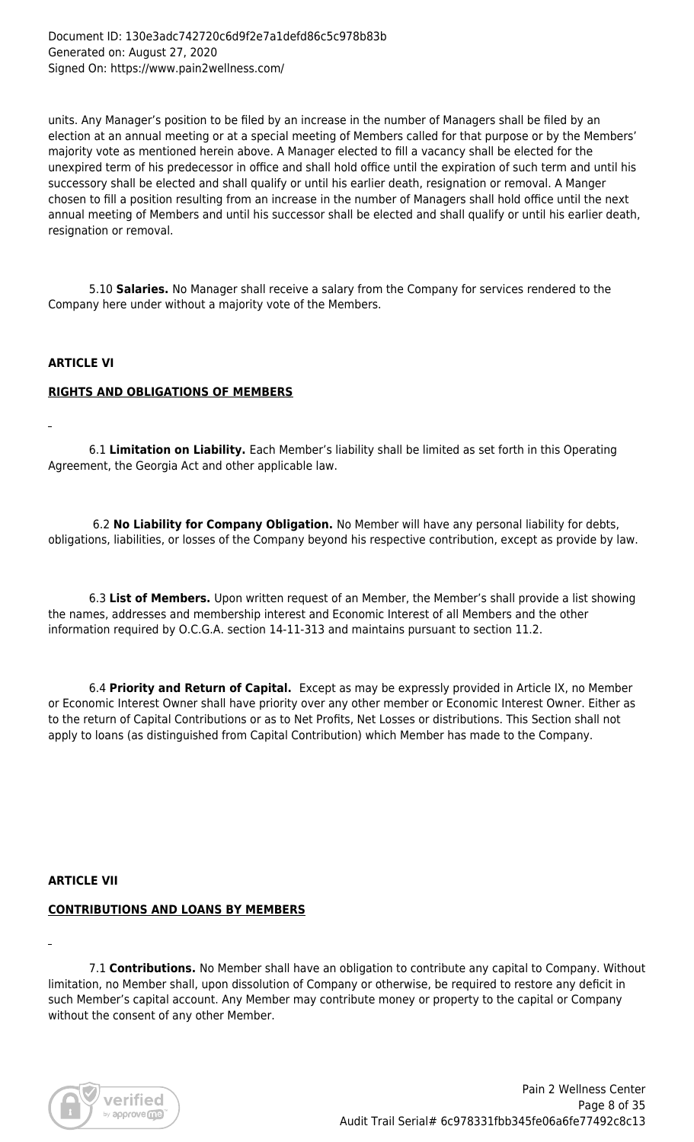units. Any Manager's position to be filed by an increase in the number of Managers shall be filed by an election at an annual meeting or at a special meeting of Members called for that purpose or by the Members' majority vote as mentioned herein above. A Manager elected to fill a vacancy shall be elected for the unexpired term of his predecessor in office and shall hold office until the expiration of such term and until his successory shall be elected and shall qualify or until his earlier death, resignation or removal. A Manger chosen to fill a position resulting from an increase in the number of Managers shall hold office until the next annual meeting of Members and until his successor shall be elected and shall qualify or until his earlier death, resignation or removal.

 5.10 **Salaries.** No Manager shall receive a salary from the Company for services rendered to the Company here under without a majority vote of the Members.

#### **ARTICLE VI**

#### **RIGHTS AND OBLIGATIONS OF MEMBERS**

 6.1 **Limitation on Liability.** Each Member's liability shall be limited as set forth in this Operating Agreement, the Georgia Act and other applicable law.

6.2 **No Liability for Company Obligation.** No Member will have any personal liability for debts, obligations, liabilities, or losses of the Company beyond his respective contribution, except as provide by law.

 6.3 **List of Members.** Upon written request of an Member, the Member's shall provide a list showing the names, addresses and membership interest and Economic Interest of all Members and the other information required by O.C.G.A. section 14-11-313 and maintains pursuant to section 11.2.

 6.4 **Priority and Return of Capital.** Except as may be expressly provided in Article IX, no Member or Economic Interest Owner shall have priority over any other member or Economic Interest Owner. Either as to the return of Capital Contributions or as to Net Profits, Net Losses or distributions. This Section shall not apply to loans (as distinguished from Capital Contribution) which Member has made to the Company.

#### **ARTICLE VII**

# **CONTRIBUTIONS AND LOANS BY MEMBERS**

 7.1 **Contributions.** No Member shall have an obligation to contribute any capital to Company. Without limitation, no Member shall, upon dissolution of Company or otherwise, be required to restore any deficit in such Member's capital account. Any Member may contribute money or property to the capital or Company without the consent of any other Member.

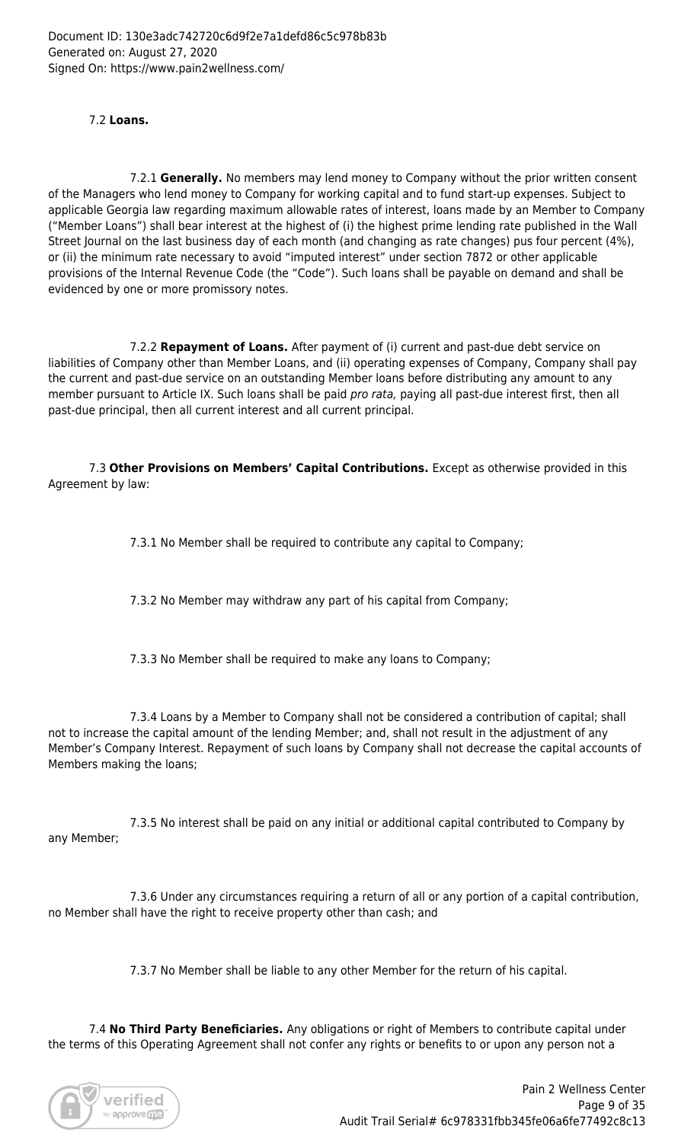# 7.2 **Loans.**

 7.2.1 **Generally.** No members may lend money to Company without the prior written consent of the Managers who lend money to Company for working capital and to fund start-up expenses. Subject to applicable Georgia law regarding maximum allowable rates of interest, loans made by an Member to Company ("Member Loans") shall bear interest at the highest of (i) the highest prime lending rate published in the Wall Street Journal on the last business day of each month (and changing as rate changes) pus four percent (4%), or (ii) the minimum rate necessary to avoid "imputed interest" under section 7872 or other applicable provisions of the Internal Revenue Code (the "Code"). Such loans shall be payable on demand and shall be evidenced by one or more promissory notes.

 7.2.2 **Repayment of Loans.** After payment of (i) current and past-due debt service on liabilities of Company other than Member Loans, and (ii) operating expenses of Company, Company shall pay the current and past-due service on an outstanding Member loans before distributing any amount to any member pursuant to Article IX. Such loans shall be paid *pro rata*, paying all past-due interest first, then all past-due principal, then all current interest and all current principal.

 7.3 **Other Provisions on Members' Capital Contributions.** Except as otherwise provided in this Agreement by law:

7.3.1 No Member shall be required to contribute any capital to Company;

7.3.2 No Member may withdraw any part of his capital from Company;

7.3.3 No Member shall be required to make any loans to Company;

 7.3.4 Loans by a Member to Company shall not be considered a contribution of capital; shall not to increase the capital amount of the lending Member; and, shall not result in the adjustment of any Member's Company Interest. Repayment of such loans by Company shall not decrease the capital accounts of Members making the loans;

 7.3.5 No interest shall be paid on any initial or additional capital contributed to Company by any Member;

 7.3.6 Under any circumstances requiring a return of all or any portion of a capital contribution, no Member shall have the right to receive property other than cash; and

7.3.7 No Member shall be liable to any other Member for the return of his capital.

 7.4 **No Third Party Beneficiaries.** Any obligations or right of Members to contribute capital under the terms of this Operating Agreement shall not confer any rights or benefits to or upon any person not a

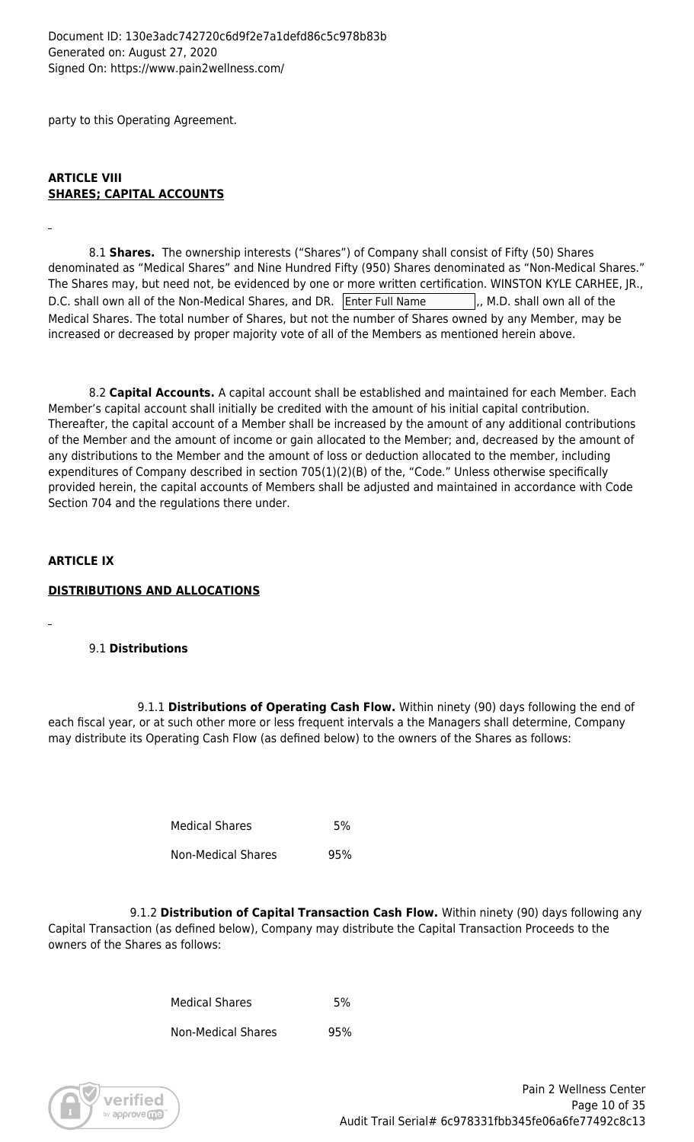Document ID: 130e3adc742720c6d9f2e7a1defd86c5c978b83b Generated on: August 27, 2020 Signed On: https://www.pain2wellness.com/

party to this Operating Agreement.

# **ARTICLE VIII SHARES; CAPITAL ACCOUNTS**

 8.1 **Shares.** The ownership interests ("Shares") of Company shall consist of Fifty (50) Shares denominated as "Medical Shares" and Nine Hundred Fifty (950) Shares denominated as "Non-Medical Shares." The Shares may, but need not, be evidenced by one or more written certification. WINSTON KYLE CARHEE, JR., D.C. shall own all of the Non-Medical Shares, and DR. Enter Full Name  $\vert$ , M.D. shall own all of the Medical Shares. The total number of Shares, but not the number of Shares owned by any Member, may be increased or decreased by proper majority vote of all of the Members as mentioned herein above.

 8.2 **Capital Accounts.** A capital account shall be established and maintained for each Member. Each Member's capital account shall initially be credited with the amount of his initial capital contribution. Thereafter, the capital account of a Member shall be increased by the amount of any additional contributions of the Member and the amount of income or gain allocated to the Member; and, decreased by the amount of any distributions to the Member and the amount of loss or deduction allocated to the member, including expenditures of Company described in section 705(1)(2)(B) of the, "Code." Unless otherwise specifically provided herein, the capital accounts of Members shall be adjusted and maintained in accordance with Code Section 704 and the regulations there under.

#### **ARTICLE IX**

#### **DISTRIBUTIONS AND ALLOCATIONS**

# 9.1 **Distributions**

9.1.1 **Distributions of Operating Cash Flow.** Within ninety (90) days following the end of each fiscal year, or at such other more or less frequent intervals a the Managers shall determine, Company may distribute its Operating Cash Flow (as defined below) to the owners of the Shares as follows:

| <b>Medical Shares</b> | 5%  |
|-----------------------|-----|
| Non-Medical Shares    | 95% |

 9.1.2 **Distribution of Capital Transaction Cash Flow.** Within ninety (90) days following any Capital Transaction (as defined below), Company may distribute the Capital Transaction Proceeds to the owners of the Shares as follows:

> Medical Shares 5% Non-Medical Shares 95%

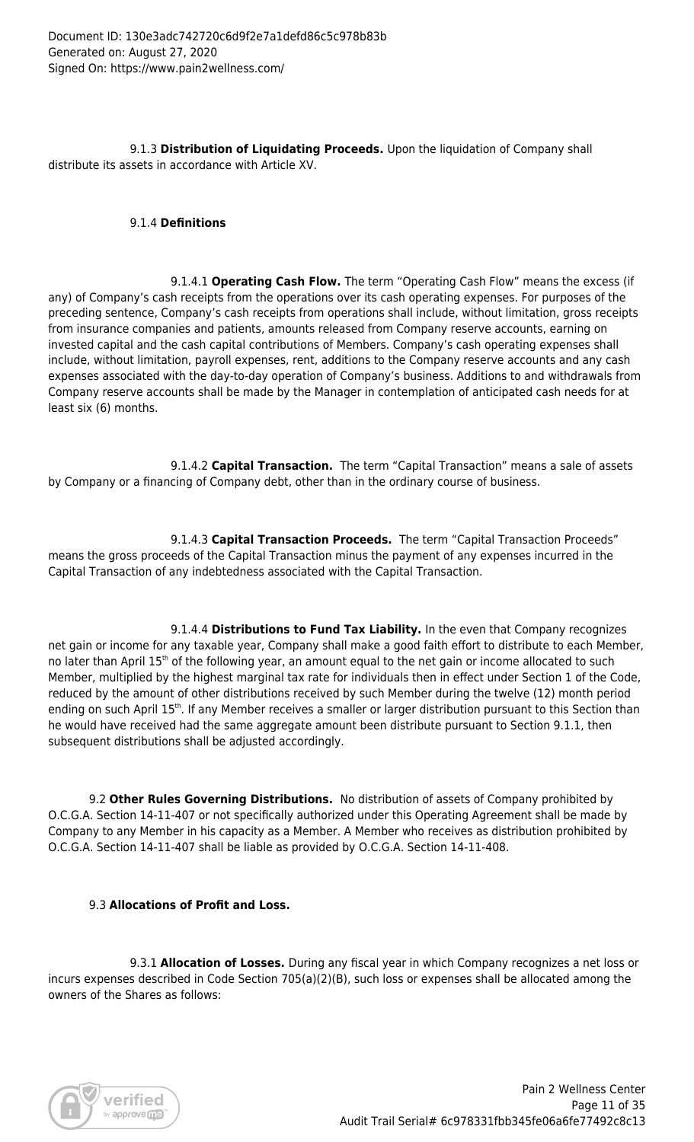9.1.3 **Distribution of Liquidating Proceeds.** Upon the liquidation of Company shall distribute its assets in accordance with Article XV.

### 9.1.4 **Definitions**

 9.1.4.1 **Operating Cash Flow.** The term "Operating Cash Flow" means the excess (if any) of Company's cash receipts from the operations over its cash operating expenses. For purposes of the preceding sentence, Company's cash receipts from operations shall include, without limitation, gross receipts from insurance companies and patients, amounts released from Company reserve accounts, earning on invested capital and the cash capital contributions of Members. Company's cash operating expenses shall include, without limitation, payroll expenses, rent, additions to the Company reserve accounts and any cash expenses associated with the day-to-day operation of Company's business. Additions to and withdrawals from Company reserve accounts shall be made by the Manager in contemplation of anticipated cash needs for at least six (6) months.

 9.1.4.2 **Capital Transaction.** The term "Capital Transaction" means a sale of assets by Company or a financing of Company debt, other than in the ordinary course of business.

 9.1.4.3 **Capital Transaction Proceeds.** The term "Capital Transaction Proceeds" means the gross proceeds of the Capital Transaction minus the payment of any expenses incurred in the Capital Transaction of any indebtedness associated with the Capital Transaction.

 9.1.4.4 **Distributions to Fund Tax Liability.** In the even that Company recognizes net gain or income for any taxable year, Company shall make a good faith effort to distribute to each Member, no later than April 15<sup>th</sup> of the following year, an amount equal to the net gain or income allocated to such Member, multiplied by the highest marginal tax rate for individuals then in effect under Section 1 of the Code, reduced by the amount of other distributions received by such Member during the twelve (12) month period ending on such April 15<sup>th</sup>. If any Member receives a smaller or larger distribution pursuant to this Section than he would have received had the same aggregate amount been distribute pursuant to Section 9.1.1, then subsequent distributions shall be adjusted accordingly.

 9.2 **Other Rules Governing Distributions.** No distribution of assets of Company prohibited by O.C.G.A. Section 14-11-407 or not specifically authorized under this Operating Agreement shall be made by Company to any Member in his capacity as a Member. A Member who receives as distribution prohibited by O.C.G.A. Section 14-11-407 shall be liable as provided by O.C.G.A. Section 14-11-408.

# 9.3 **Allocations of Profit and Loss.**

 9.3.1 **Allocation of Losses.** During any fiscal year in which Company recognizes a net loss or incurs expenses described in Code Section 705(a)(2)(B), such loss or expenses shall be allocated among the owners of the Shares as follows:

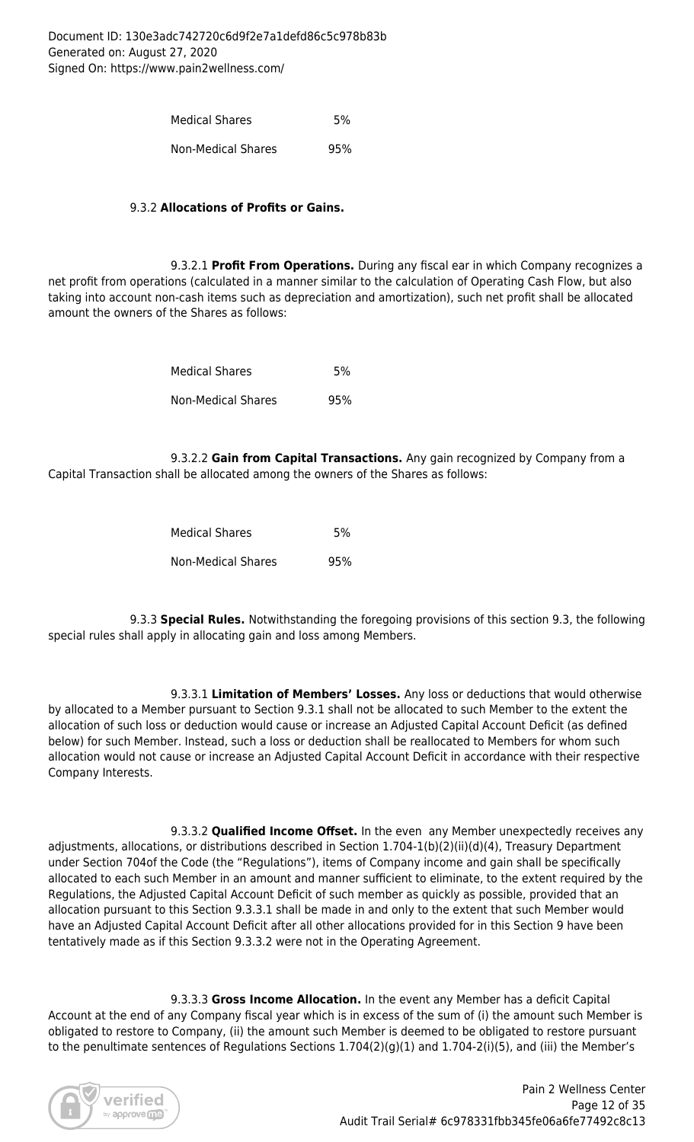| <b>Medical Shares</b>     | .5% |
|---------------------------|-----|
| <b>Non-Medical Shares</b> | 95% |

### 9.3.2 **Allocations of Profits or Gains.**

 9.3.2.1 **Profit From Operations.** During any fiscal ear in which Company recognizes a net profit from operations (calculated in a manner similar to the calculation of Operating Cash Flow, but also taking into account non-cash items such as depreciation and amortization), such net profit shall be allocated amount the owners of the Shares as follows:

| <b>Medical Shares</b> | 5%  |
|-----------------------|-----|
| Non-Medical Shares    | 95% |

 9.3.2.2 **Gain from Capital Transactions.** Any gain recognized by Company from a Capital Transaction shall be allocated among the owners of the Shares as follows:

| <b>Medical Shares</b> | 5%  |
|-----------------------|-----|
| Non-Medical Shares    | 95% |

 9.3.3 **Special Rules.** Notwithstanding the foregoing provisions of this section 9.3, the following special rules shall apply in allocating gain and loss among Members.

 9.3.3.1 **Limitation of Members' Losses.** Any loss or deductions that would otherwise by allocated to a Member pursuant to Section 9.3.1 shall not be allocated to such Member to the extent the allocation of such loss or deduction would cause or increase an Adjusted Capital Account Deficit (as defined below) for such Member. Instead, such a loss or deduction shall be reallocated to Members for whom such allocation would not cause or increase an Adjusted Capital Account Deficit in accordance with their respective Company Interests.

 9.3.3.2 **Qualified Income Offset.** In the even any Member unexpectedly receives any adjustments, allocations, or distributions described in Section 1.704-1(b)(2)(ii)(d)(4), Treasury Department under Section 704of the Code (the "Regulations"), items of Company income and gain shall be specifically allocated to each such Member in an amount and manner sufficient to eliminate, to the extent required by the Regulations, the Adjusted Capital Account Deficit of such member as quickly as possible, provided that an allocation pursuant to this Section 9.3.3.1 shall be made in and only to the extent that such Member would have an Adjusted Capital Account Deficit after all other allocations provided for in this Section 9 have been tentatively made as if this Section 9.3.3.2 were not in the Operating Agreement.

 9.3.3.3 **Gross Income Allocation.** In the event any Member has a deficit Capital Account at the end of any Company fiscal year which is in excess of the sum of (i) the amount such Member is obligated to restore to Company, (ii) the amount such Member is deemed to be obligated to restore pursuant to the penultimate sentences of Regulations Sections 1.704(2)(g)(1) and 1.704-2(i)(5), and (iii) the Member's

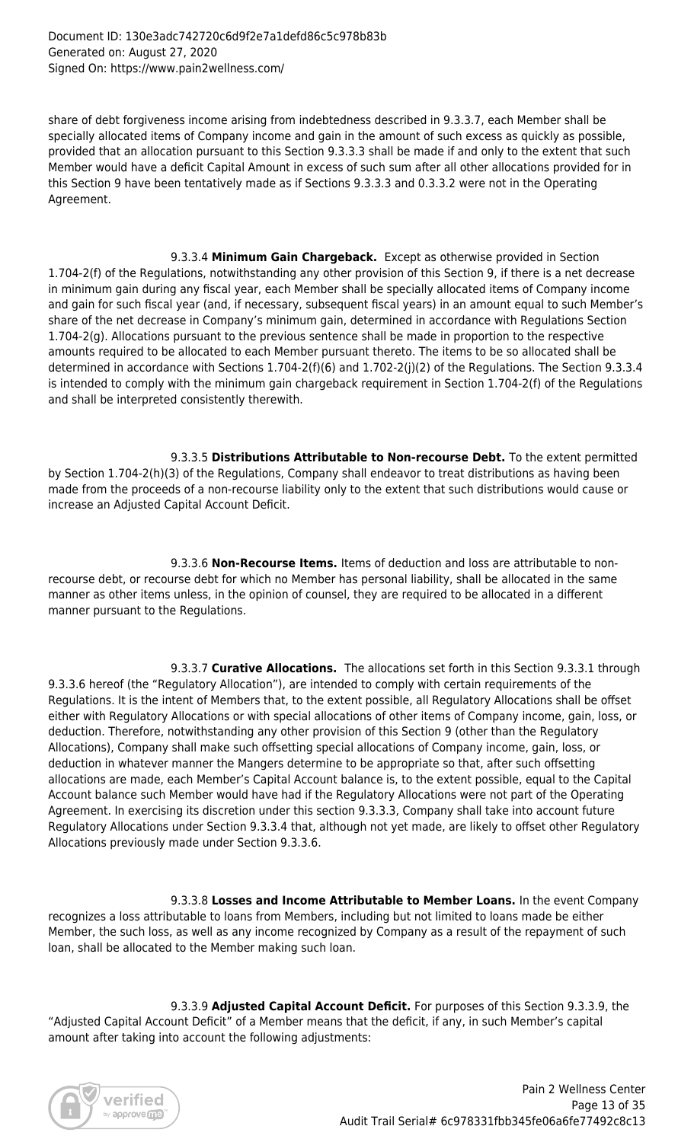share of debt forgiveness income arising from indebtedness described in 9.3.3.7, each Member shall be specially allocated items of Company income and gain in the amount of such excess as quickly as possible, provided that an allocation pursuant to this Section 9.3.3.3 shall be made if and only to the extent that such Member would have a deficit Capital Amount in excess of such sum after all other allocations provided for in this Section 9 have been tentatively made as if Sections 9.3.3.3 and 0.3.3.2 were not in the Operating Agreement.

 9.3.3.4 **Minimum Gain Chargeback.** Except as otherwise provided in Section 1.704-2(f) of the Regulations, notwithstanding any other provision of this Section 9, if there is a net decrease in minimum gain during any fiscal year, each Member shall be specially allocated items of Company income and gain for such fiscal year (and, if necessary, subsequent fiscal years) in an amount equal to such Member's share of the net decrease in Company's minimum gain, determined in accordance with Regulations Section 1.704-2(g). Allocations pursuant to the previous sentence shall be made in proportion to the respective amounts required to be allocated to each Member pursuant thereto. The items to be so allocated shall be determined in accordance with Sections 1.704-2(f)(6) and 1.702-2(j)(2) of the Regulations. The Section 9.3.3.4 is intended to comply with the minimum gain chargeback requirement in Section 1.704-2(f) of the Regulations and shall be interpreted consistently therewith.

 9.3.3.5 **Distributions Attributable to Non-recourse Debt.** To the extent permitted by Section 1.704-2(h)(3) of the Regulations, Company shall endeavor to treat distributions as having been made from the proceeds of a non-recourse liability only to the extent that such distributions would cause or increase an Adjusted Capital Account Deficit.

 9.3.3.6 **Non-Recourse Items.** Items of deduction and loss are attributable to nonrecourse debt, or recourse debt for which no Member has personal liability, shall be allocated in the same manner as other items unless, in the opinion of counsel, they are required to be allocated in a different manner pursuant to the Regulations.

 9.3.3.7 **Curative Allocations.** The allocations set forth in this Section 9.3.3.1 through 9.3.3.6 hereof (the "Regulatory Allocation"), are intended to comply with certain requirements of the Regulations. It is the intent of Members that, to the extent possible, all Regulatory Allocations shall be offset either with Regulatory Allocations or with special allocations of other items of Company income, gain, loss, or deduction. Therefore, notwithstanding any other provision of this Section 9 (other than the Regulatory Allocations), Company shall make such offsetting special allocations of Company income, gain, loss, or deduction in whatever manner the Mangers determine to be appropriate so that, after such offsetting allocations are made, each Member's Capital Account balance is, to the extent possible, equal to the Capital Account balance such Member would have had if the Regulatory Allocations were not part of the Operating Agreement. In exercising its discretion under this section 9.3.3.3, Company shall take into account future Regulatory Allocations under Section 9.3.3.4 that, although not yet made, are likely to offset other Regulatory Allocations previously made under Section 9.3.3.6.

 9.3.3.8 **Losses and Income Attributable to Member Loans.** In the event Company recognizes a loss attributable to loans from Members, including but not limited to loans made be either Member, the such loss, as well as any income recognized by Company as a result of the repayment of such loan, shall be allocated to the Member making such loan.

 9.3.3.9 **Adjusted Capital Account Deficit.** For purposes of this Section 9.3.3.9, the "Adjusted Capital Account Deficit" of a Member means that the deficit, if any, in such Member's capital amount after taking into account the following adjustments:

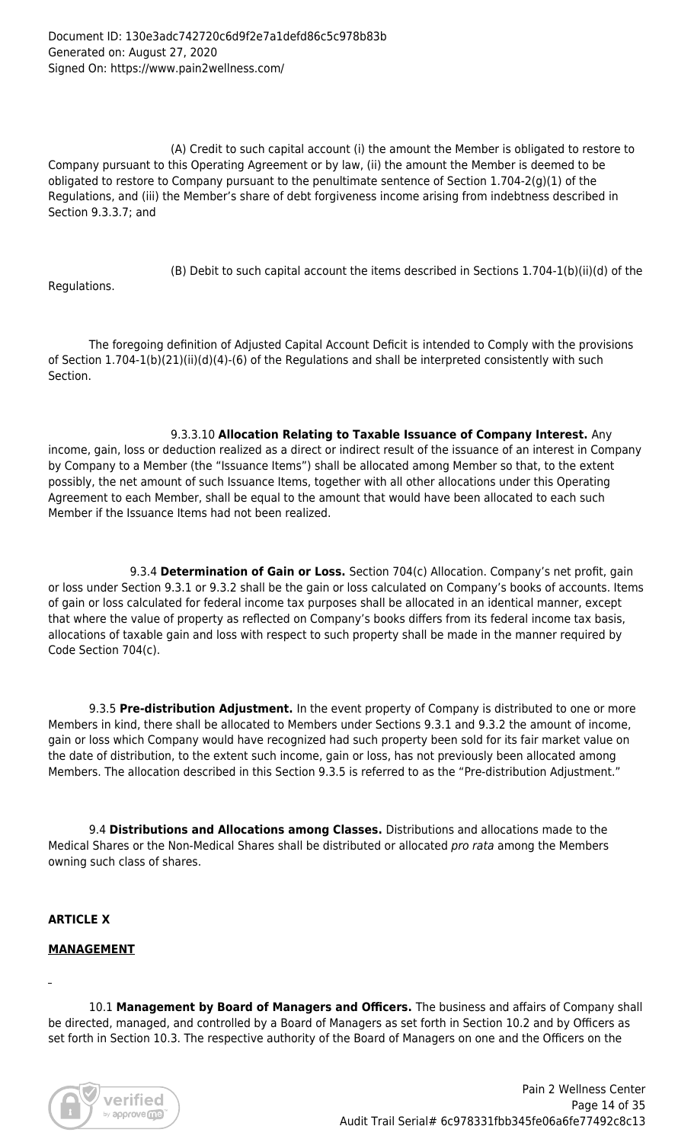(A) Credit to such capital account (i) the amount the Member is obligated to restore to Company pursuant to this Operating Agreement or by law, (ii) the amount the Member is deemed to be obligated to restore to Company pursuant to the penultimate sentence of Section 1.704-2(g)(1) of the Regulations, and (iii) the Member's share of debt forgiveness income arising from indebtness described in Section 9.3.3.7; and

(B) Debit to such capital account the items described in Sections 1.704-1(b)(ii)(d) of the

Regulations.

 The foregoing definition of Adjusted Capital Account Deficit is intended to Comply with the provisions of Section 1.704-1(b)(21)(ii)(d)(4)-(6) of the Regulations and shall be interpreted consistently with such Section.

 9.3.3.10 **Allocation Relating to Taxable Issuance of Company Interest.** Any income, gain, loss or deduction realized as a direct or indirect result of the issuance of an interest in Company by Company to a Member (the "Issuance Items") shall be allocated among Member so that, to the extent possibly, the net amount of such Issuance Items, together with all other allocations under this Operating Agreement to each Member, shall be equal to the amount that would have been allocated to each such Member if the Issuance Items had not been realized.

 9.3.4 **Determination of Gain or Loss.** Section 704(c) Allocation. Company's net profit, gain or loss under Section 9.3.1 or 9.3.2 shall be the gain or loss calculated on Company's books of accounts. Items of gain or loss calculated for federal income tax purposes shall be allocated in an identical manner, except that where the value of property as reflected on Company's books differs from its federal income tax basis, allocations of taxable gain and loss with respect to such property shall be made in the manner required by Code Section 704(c).

 9.3.5 **Pre-distribution Adjustment.** In the event property of Company is distributed to one or more Members in kind, there shall be allocated to Members under Sections 9.3.1 and 9.3.2 the amount of income, gain or loss which Company would have recognized had such property been sold for its fair market value on the date of distribution, to the extent such income, gain or loss, has not previously been allocated among Members. The allocation described in this Section 9.3.5 is referred to as the "Pre-distribution Adjustment."

 9.4 **Distributions and Allocations among Classes.** Distributions and allocations made to the Medical Shares or the Non-Medical Shares shall be distributed or allocated pro rata among the Members owning such class of shares.

#### **ARTICLE X**

#### **MANAGEMENT**

 10.1 **Management by Board of Managers and Officers.** The business and affairs of Company shall be directed, managed, and controlled by a Board of Managers as set forth in Section 10.2 and by Officers as set forth in Section 10.3. The respective authority of the Board of Managers on one and the Officers on the

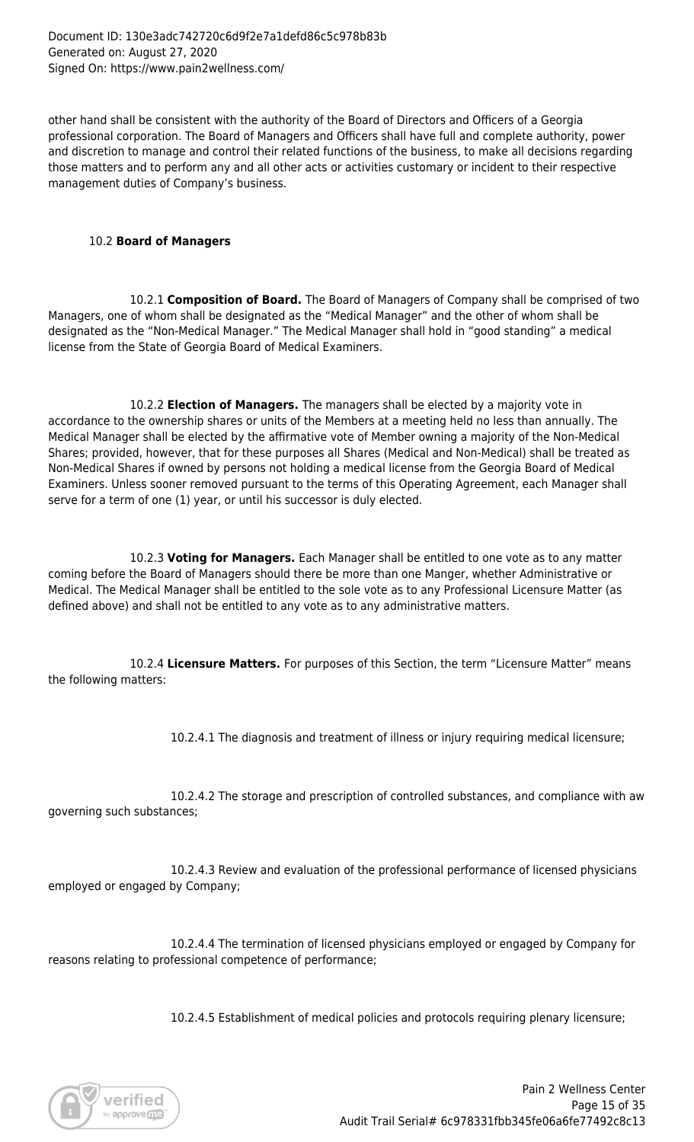other hand shall be consistent with the authority of the Board of Directors and Officers of a Georgia professional corporation. The Board of Managers and Officers shall have full and complete authority, power and discretion to manage and control their related functions of the business, to make all decisions regarding those matters and to perform any and all other acts or activities customary or incident to their respective management duties of Company's business.

#### 10.2 **Board of Managers**

 10.2.1 **Composition of Board.** The Board of Managers of Company shall be comprised of two Managers, one of whom shall be designated as the "Medical Manager" and the other of whom shall be designated as the "Non-Medical Manager." The Medical Manager shall hold in "good standing" a medical license from the State of Georgia Board of Medical Examiners.

 10.2.2 **Election of Managers.** The managers shall be elected by a majority vote in accordance to the ownership shares or units of the Members at a meeting held no less than annually. The Medical Manager shall be elected by the affirmative vote of Member owning a majority of the Non-Medical Shares; provided, however, that for these purposes all Shares (Medical and Non-Medical) shall be treated as Non-Medical Shares if owned by persons not holding a medical license from the Georgia Board of Medical Examiners. Unless sooner removed pursuant to the terms of this Operating Agreement, each Manager shall serve for a term of one (1) year, or until his successor is duly elected.

 10.2.3 **Voting for Managers.** Each Manager shall be entitled to one vote as to any matter coming before the Board of Managers should there be more than one Manger, whether Administrative or Medical. The Medical Manager shall be entitled to the sole vote as to any Professional Licensure Matter (as defined above) and shall not be entitled to any vote as to any administrative matters.

 10.2.4 **Licensure Matters.** For purposes of this Section, the term "Licensure Matter" means the following matters:

10.2.4.1 The diagnosis and treatment of illness or injury requiring medical licensure;

 10.2.4.2 The storage and prescription of controlled substances, and compliance with aw governing such substances;

 10.2.4.3 Review and evaluation of the professional performance of licensed physicians employed or engaged by Company;

 10.2.4.4 The termination of licensed physicians employed or engaged by Company for reasons relating to professional competence of performance;

10.2.4.5 Establishment of medical policies and protocols requiring plenary licensure;

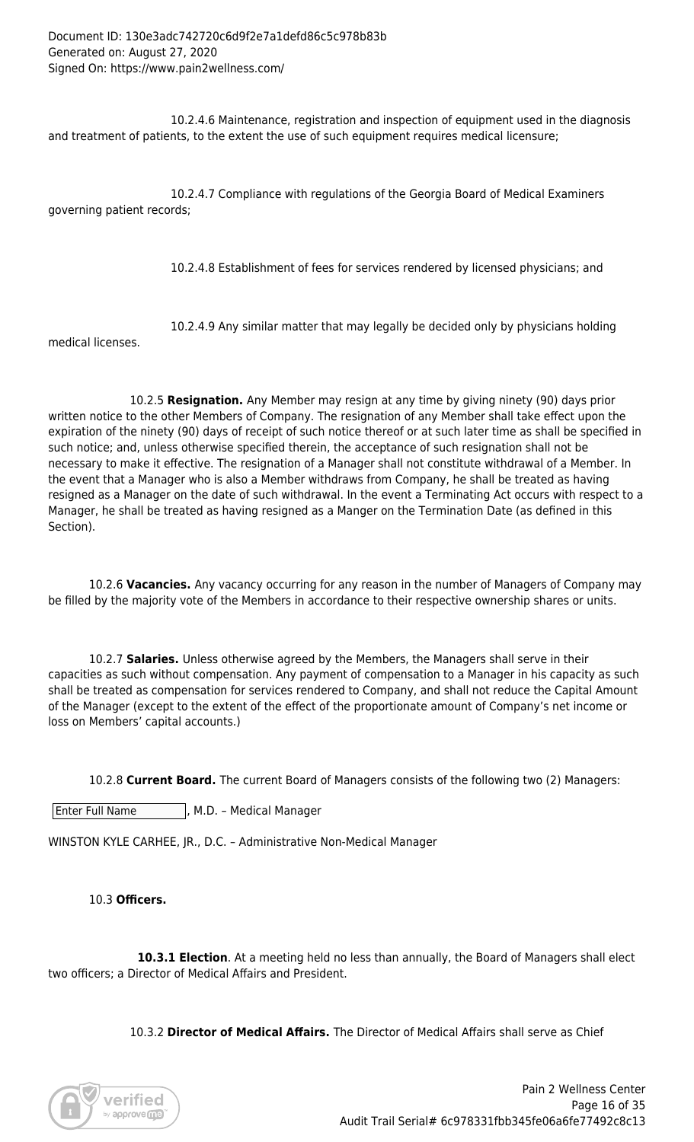10.2.4.6 Maintenance, registration and inspection of equipment used in the diagnosis and treatment of patients, to the extent the use of such equipment requires medical licensure;

 10.2.4.7 Compliance with regulations of the Georgia Board of Medical Examiners governing patient records;

10.2.4.8 Establishment of fees for services rendered by licensed physicians; and

10.2.4.9 Any similar matter that may legally be decided only by physicians holding

medical licenses.

 10.2.5 **Resignation.** Any Member may resign at any time by giving ninety (90) days prior written notice to the other Members of Company. The resignation of any Member shall take effect upon the expiration of the ninety (90) days of receipt of such notice thereof or at such later time as shall be specified in such notice; and, unless otherwise specified therein, the acceptance of such resignation shall not be necessary to make it effective. The resignation of a Manager shall not constitute withdrawal of a Member. In the event that a Manager who is also a Member withdraws from Company, he shall be treated as having resigned as a Manager on the date of such withdrawal. In the event a Terminating Act occurs with respect to a Manager, he shall be treated as having resigned as a Manger on the Termination Date (as defined in this Section).

 10.2.6 **Vacancies.** Any vacancy occurring for any reason in the number of Managers of Company may be filled by the majority vote of the Members in accordance to their respective ownership shares or units.

 10.2.7 **Salaries.** Unless otherwise agreed by the Members, the Managers shall serve in their capacities as such without compensation. Any payment of compensation to a Manager in his capacity as such shall be treated as compensation for services rendered to Company, and shall not reduce the Capital Amount of the Manager (except to the extent of the effect of the proportionate amount of Company's net income or loss on Members' capital accounts.)

10.2.8 **Current Board.** The current Board of Managers consists of the following two (2) Managers:

 $|$  Enter Full Name  $|$ , M.D. – Medical Manager

WINSTON KYLE CARHEE, JR., D.C. – Administrative Non-Medical Manager

#### 10.3 **Officers.**

**10.3.1 Election**. At a meeting held no less than annually, the Board of Managers shall elect two officers; a Director of Medical Affairs and President.

10.3.2 **Director of Medical Affairs.** The Director of Medical Affairs shall serve as Chief

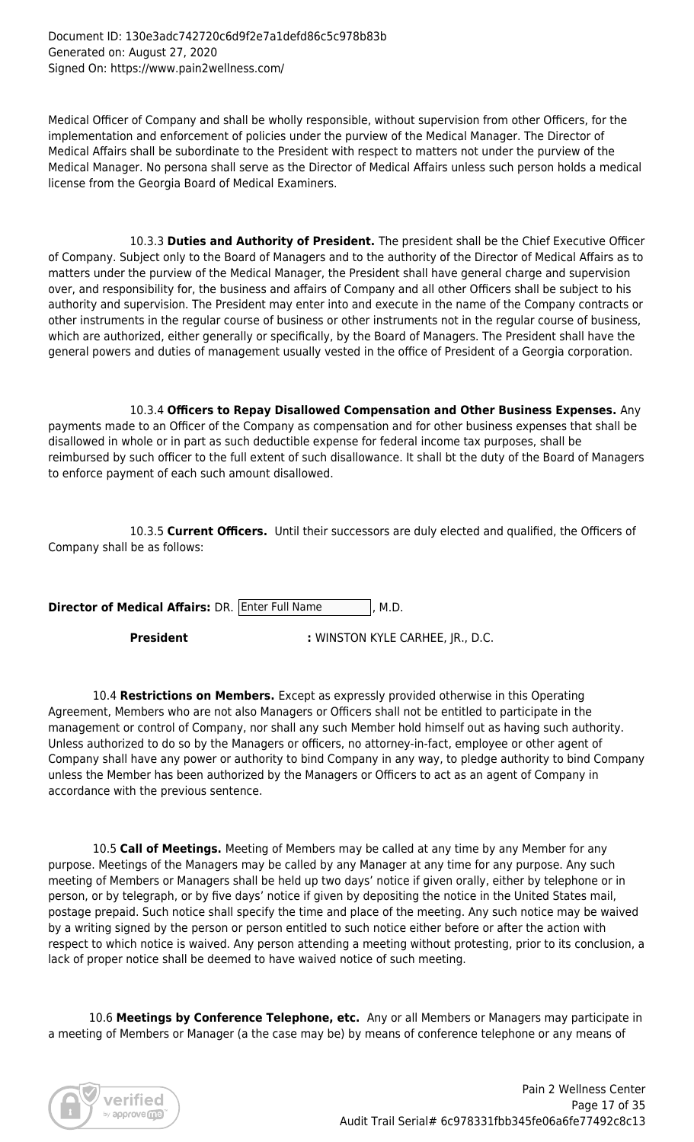Document ID: 130e3adc742720c6d9f2e7a1defd86c5c978b83b Generated on: August 27, 2020 Signed On: https://www.pain2wellness.com/

Medical Officer of Company and shall be wholly responsible, without supervision from other Officers, for the implementation and enforcement of policies under the purview of the Medical Manager. The Director of Medical Affairs shall be subordinate to the President with respect to matters not under the purview of the Medical Manager. No persona shall serve as the Director of Medical Affairs unless such person holds a medical license from the Georgia Board of Medical Examiners.

 10.3.3 **Duties and Authority of President.** The president shall be the Chief Executive Officer of Company. Subject only to the Board of Managers and to the authority of the Director of Medical Affairs as to matters under the purview of the Medical Manager, the President shall have general charge and supervision over, and responsibility for, the business and affairs of Company and all other Officers shall be subject to his authority and supervision. The President may enter into and execute in the name of the Company contracts or other instruments in the regular course of business or other instruments not in the regular course of business, which are authorized, either generally or specifically, by the Board of Managers. The President shall have the general powers and duties of management usually vested in the office of President of a Georgia corporation.

 10.3.4 **Officers to Repay Disallowed Compensation and Other Business Expenses.** Any payments made to an Officer of the Company as compensation and for other business expenses that shall be disallowed in whole or in part as such deductible expense for federal income tax purposes, shall be reimbursed by such officer to the full extent of such disallowance. It shall bt the duty of the Board of Managers to enforce payment of each such amount disallowed.

 10.3.5 **Current Officers.** Until their successors are duly elected and qualified, the Officers of Company shall be as follows:

**Director of Medical Affairs:** DR. Enter Full Name , M.D.

**President :** WINSTON KYLE CARHEE, JR., D.C.

10.4 **Restrictions on Members.** Except as expressly provided otherwise in this Operating Agreement, Members who are not also Managers or Officers shall not be entitled to participate in the management or control of Company, nor shall any such Member hold himself out as having such authority. Unless authorized to do so by the Managers or officers, no attorney-in-fact, employee or other agent of Company shall have any power or authority to bind Company in any way, to pledge authority to bind Company unless the Member has been authorized by the Managers or Officers to act as an agent of Company in accordance with the previous sentence.

10.5 **Call of Meetings.** Meeting of Members may be called at any time by any Member for any purpose. Meetings of the Managers may be called by any Manager at any time for any purpose. Any such meeting of Members or Managers shall be held up two days' notice if given orally, either by telephone or in person, or by telegraph, or by five days' notice if given by depositing the notice in the United States mail, postage prepaid. Such notice shall specify the time and place of the meeting. Any such notice may be waived by a writing signed by the person or person entitled to such notice either before or after the action with respect to which notice is waived. Any person attending a meeting without protesting, prior to its conclusion, a lack of proper notice shall be deemed to have waived notice of such meeting.

 10.6 **Meetings by Conference Telephone, etc.** Any or all Members or Managers may participate in a meeting of Members or Manager (a the case may be) by means of conference telephone or any means of

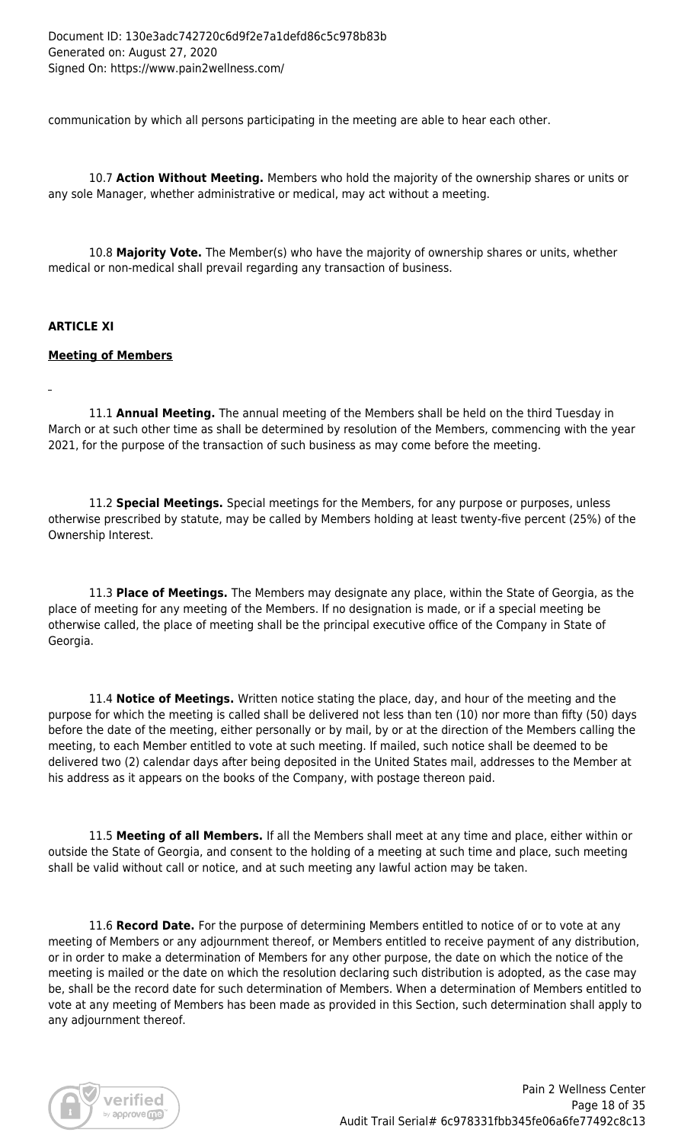communication by which all persons participating in the meeting are able to hear each other.

 10.7 **Action Without Meeting.** Members who hold the majority of the ownership shares or units or any sole Manager, whether administrative or medical, may act without a meeting.

 10.8 **Majority Vote.** The Member(s) who have the majority of ownership shares or units, whether medical or non-medical shall prevail regarding any transaction of business.

# **ARTICLE XI**

#### **Meeting of Members**

 11.1 **Annual Meeting.** The annual meeting of the Members shall be held on the third Tuesday in March or at such other time as shall be determined by resolution of the Members, commencing with the year 2021, for the purpose of the transaction of such business as may come before the meeting.

 11.2 **Special Meetings.** Special meetings for the Members, for any purpose or purposes, unless otherwise prescribed by statute, may be called by Members holding at least twenty-five percent (25%) of the Ownership Interest.

 11.3 **Place of Meetings.** The Members may designate any place, within the State of Georgia, as the place of meeting for any meeting of the Members. If no designation is made, or if a special meeting be otherwise called, the place of meeting shall be the principal executive office of the Company in State of Georgia.

 11.4 **Notice of Meetings.** Written notice stating the place, day, and hour of the meeting and the purpose for which the meeting is called shall be delivered not less than ten (10) nor more than fifty (50) days before the date of the meeting, either personally or by mail, by or at the direction of the Members calling the meeting, to each Member entitled to vote at such meeting. If mailed, such notice shall be deemed to be delivered two (2) calendar days after being deposited in the United States mail, addresses to the Member at his address as it appears on the books of the Company, with postage thereon paid.

 11.5 **Meeting of all Members.** If all the Members shall meet at any time and place, either within or outside the State of Georgia, and consent to the holding of a meeting at such time and place, such meeting shall be valid without call or notice, and at such meeting any lawful action may be taken.

 11.6 **Record Date.** For the purpose of determining Members entitled to notice of or to vote at any meeting of Members or any adjournment thereof, or Members entitled to receive payment of any distribution, or in order to make a determination of Members for any other purpose, the date on which the notice of the meeting is mailed or the date on which the resolution declaring such distribution is adopted, as the case may be, shall be the record date for such determination of Members. When a determination of Members entitled to vote at any meeting of Members has been made as provided in this Section, such determination shall apply to any adjournment thereof.

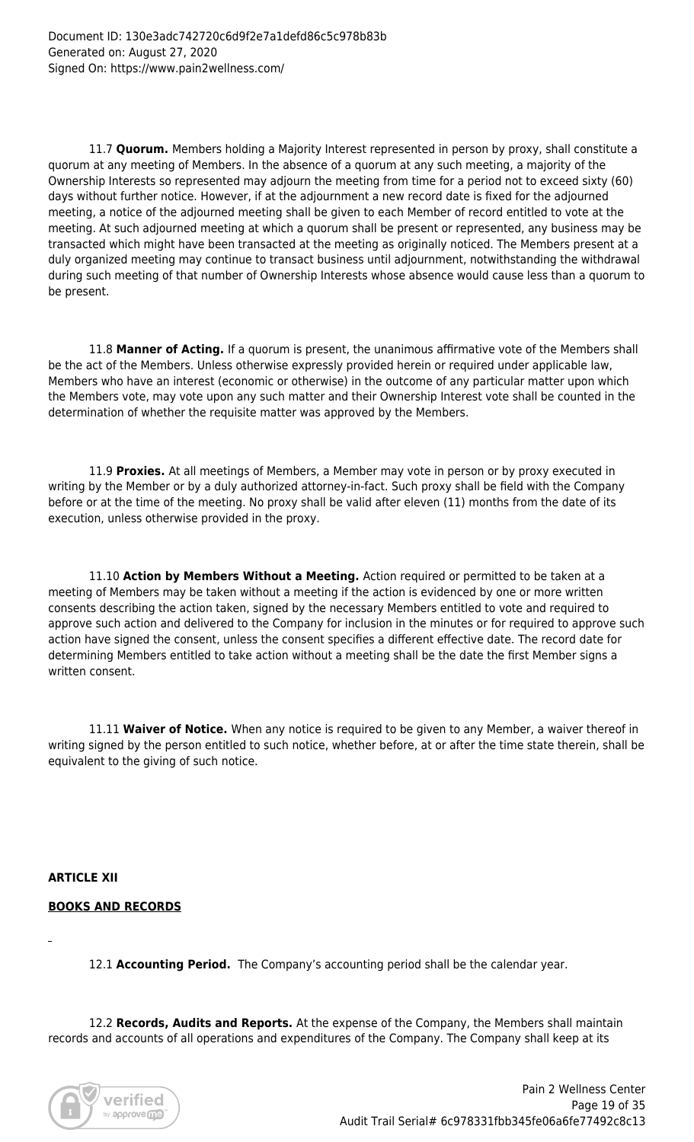11.7 **Quorum.** Members holding a Majority Interest represented in person by proxy, shall constitute a quorum at any meeting of Members. In the absence of a quorum at any such meeting, a majority of the Ownership Interests so represented may adjourn the meeting from time for a period not to exceed sixty (60) days without further notice. However, if at the adjournment a new record date is fixed for the adjourned meeting, a notice of the adjourned meeting shall be given to each Member of record entitled to vote at the meeting. At such adjourned meeting at which a quorum shall be present or represented, any business may be transacted which might have been transacted at the meeting as originally noticed. The Members present at a duly organized meeting may continue to transact business until adjournment, notwithstanding the withdrawal during such meeting of that number of Ownership Interests whose absence would cause less than a quorum to be present.

 11.8 **Manner of Acting.** If a quorum is present, the unanimous affirmative vote of the Members shall be the act of the Members. Unless otherwise expressly provided herein or required under applicable law, Members who have an interest (economic or otherwise) in the outcome of any particular matter upon which the Members vote, may vote upon any such matter and their Ownership Interest vote shall be counted in the determination of whether the requisite matter was approved by the Members.

 11.9 **Proxies.** At all meetings of Members, a Member may vote in person or by proxy executed in writing by the Member or by a duly authorized attorney-in-fact. Such proxy shall be field with the Company before or at the time of the meeting. No proxy shall be valid after eleven (11) months from the date of its execution, unless otherwise provided in the proxy.

 11.10 **Action by Members Without a Meeting.** Action required or permitted to be taken at a meeting of Members may be taken without a meeting if the action is evidenced by one or more written consents describing the action taken, signed by the necessary Members entitled to vote and required to approve such action and delivered to the Company for inclusion in the minutes or for required to approve such action have signed the consent, unless the consent specifies a different effective date. The record date for determining Members entitled to take action without a meeting shall be the date the first Member signs a written consent.

 11.11 **Waiver of Notice.** When any notice is required to be given to any Member, a waiver thereof in writing signed by the person entitled to such notice, whether before, at or after the time state therein, shall be equivalent to the giving of such notice.

**ARTICLE XII**

#### **BOOKS AND RECORDS**

12.1 **Accounting Period.** The Company's accounting period shall be the calendar year.

 12.2 **Records, Audits and Reports.** At the expense of the Company, the Members shall maintain records and accounts of all operations and expenditures of the Company. The Company shall keep at its

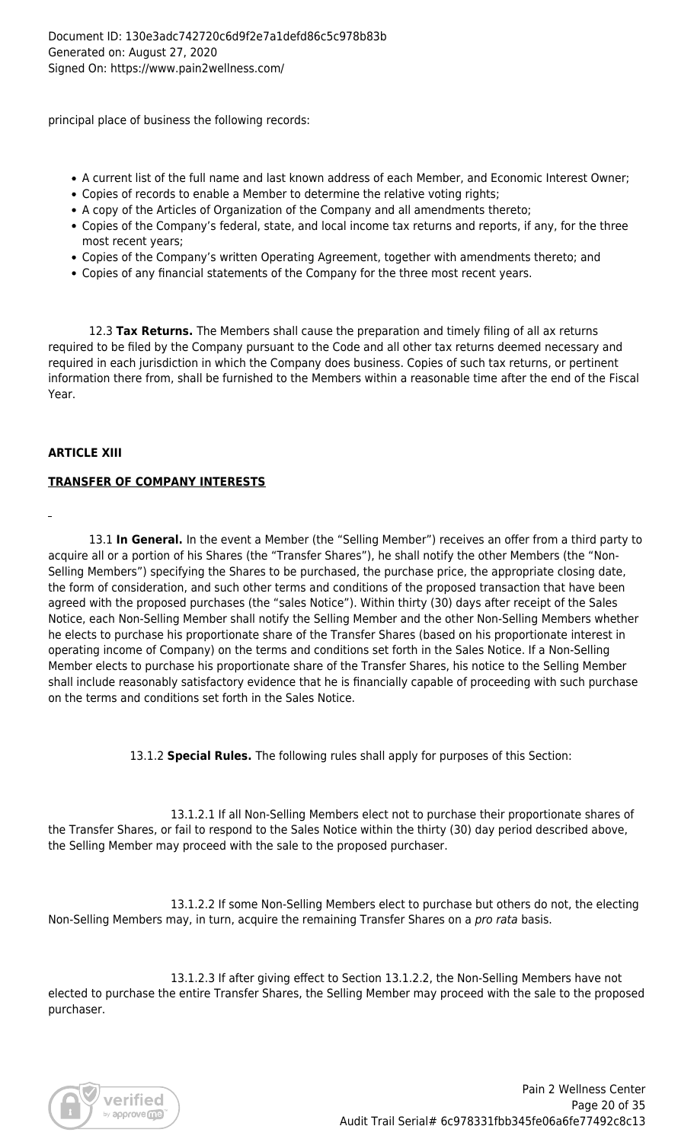principal place of business the following records:

- A current list of the full name and last known address of each Member, and Economic Interest Owner;
- Copies of records to enable a Member to determine the relative voting rights;
- A copy of the Articles of Organization of the Company and all amendments thereto;
- Copies of the Company's federal, state, and local income tax returns and reports, if any, for the three most recent years;
- Copies of the Company's written Operating Agreement, together with amendments thereto; and
- Copies of any financial statements of the Company for the three most recent years.

 12.3 **Tax Returns.** The Members shall cause the preparation and timely filing of all ax returns required to be filed by the Company pursuant to the Code and all other tax returns deemed necessary and required in each jurisdiction in which the Company does business. Copies of such tax returns, or pertinent information there from, shall be furnished to the Members within a reasonable time after the end of the Fiscal Year.

# **ARTICLE XIII**

# **TRANSFER OF COMPANY INTERESTS**

 13.1 **In General.** In the event a Member (the "Selling Member") receives an offer from a third party to acquire all or a portion of his Shares (the "Transfer Shares"), he shall notify the other Members (the "Non-Selling Members") specifying the Shares to be purchased, the purchase price, the appropriate closing date, the form of consideration, and such other terms and conditions of the proposed transaction that have been agreed with the proposed purchases (the "sales Notice"). Within thirty (30) days after receipt of the Sales Notice, each Non-Selling Member shall notify the Selling Member and the other Non-Selling Members whether he elects to purchase his proportionate share of the Transfer Shares (based on his proportionate interest in operating income of Company) on the terms and conditions set forth in the Sales Notice. If a Non-Selling Member elects to purchase his proportionate share of the Transfer Shares, his notice to the Selling Member shall include reasonably satisfactory evidence that he is financially capable of proceeding with such purchase on the terms and conditions set forth in the Sales Notice.

13.1.2 **Special Rules.** The following rules shall apply for purposes of this Section:

 13.1.2.1 If all Non-Selling Members elect not to purchase their proportionate shares of the Transfer Shares, or fail to respond to the Sales Notice within the thirty (30) day period described above, the Selling Member may proceed with the sale to the proposed purchaser.

 13.1.2.2 If some Non-Selling Members elect to purchase but others do not, the electing Non-Selling Members may, in turn, acquire the remaining Transfer Shares on a *pro rata* basis.

 13.1.2.3 If after giving effect to Section 13.1.2.2, the Non-Selling Members have not elected to purchase the entire Transfer Shares, the Selling Member may proceed with the sale to the proposed purchaser.

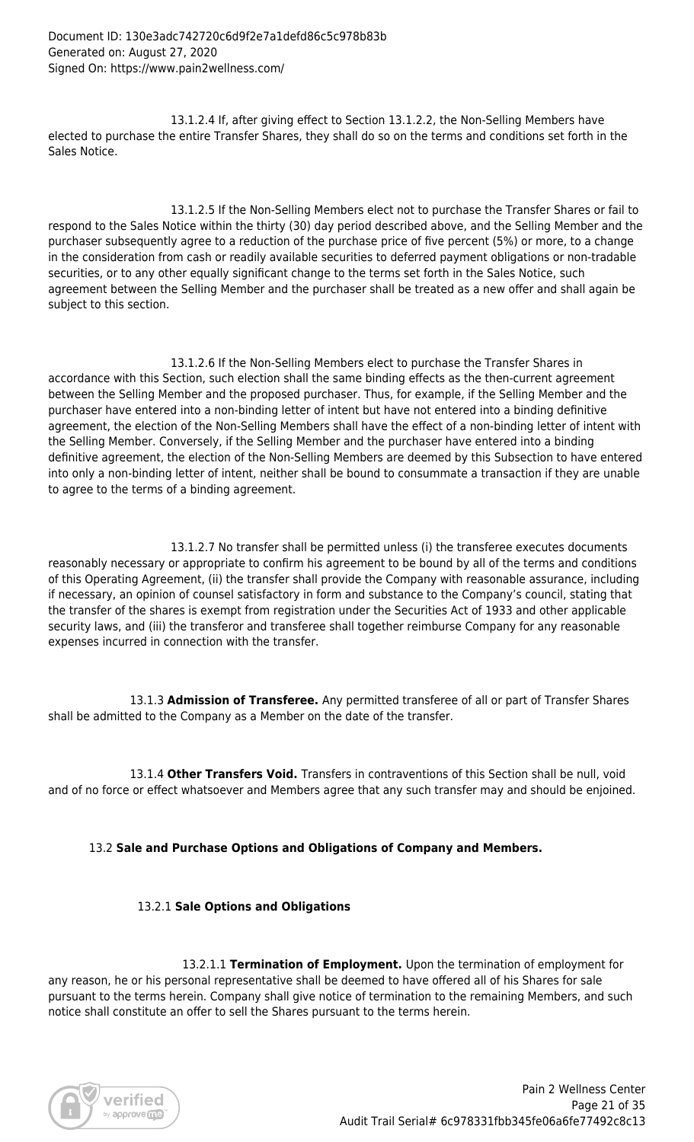13.1.2.4 If, after giving effect to Section 13.1.2.2, the Non-Selling Members have elected to purchase the entire Transfer Shares, they shall do so on the terms and conditions set forth in the Sales Notice.

 13.1.2.5 If the Non-Selling Members elect not to purchase the Transfer Shares or fail to respond to the Sales Notice within the thirty (30) day period described above, and the Selling Member and the purchaser subsequently agree to a reduction of the purchase price of five percent (5%) or more, to a change in the consideration from cash or readily available securities to deferred payment obligations or non-tradable securities, or to any other equally significant change to the terms set forth in the Sales Notice, such agreement between the Selling Member and the purchaser shall be treated as a new offer and shall again be subject to this section.

 13.1.2.6 If the Non-Selling Members elect to purchase the Transfer Shares in accordance with this Section, such election shall the same binding effects as the then-current agreement between the Selling Member and the proposed purchaser. Thus, for example, if the Selling Member and the purchaser have entered into a non-binding letter of intent but have not entered into a binding definitive agreement, the election of the Non-Selling Members shall have the effect of a non-binding letter of intent with the Selling Member. Conversely, if the Selling Member and the purchaser have entered into a binding definitive agreement, the election of the Non-Selling Members are deemed by this Subsection to have entered into only a non-binding letter of intent, neither shall be bound to consummate a transaction if they are unable to agree to the terms of a binding agreement.

 13.1.2.7 No transfer shall be permitted unless (i) the transferee executes documents reasonably necessary or appropriate to confirm his agreement to be bound by all of the terms and conditions of this Operating Agreement, (ii) the transfer shall provide the Company with reasonable assurance, including if necessary, an opinion of counsel satisfactory in form and substance to the Company's council, stating that the transfer of the shares is exempt from registration under the Securities Act of 1933 and other applicable security laws, and (iii) the transferor and transferee shall together reimburse Company for any reasonable expenses incurred in connection with the transfer.

 13.1.3 **Admission of Transferee.** Any permitted transferee of all or part of Transfer Shares shall be admitted to the Company as a Member on the date of the transfer.

 13.1.4 **Other Transfers Void.** Transfers in contraventions of this Section shall be null, void and of no force or effect whatsoever and Members agree that any such transfer may and should be enjoined.

# 13.2 **Sale and Purchase Options and Obligations of Company and Members.**

# 13.2.1 **Sale Options and Obligations**

13.2.1.1 **Termination of Employment.** Upon the termination of employment for any reason, he or his personal representative shall be deemed to have offered all of his Shares for sale pursuant to the terms herein. Company shall give notice of termination to the remaining Members, and such notice shall constitute an offer to sell the Shares pursuant to the terms herein.

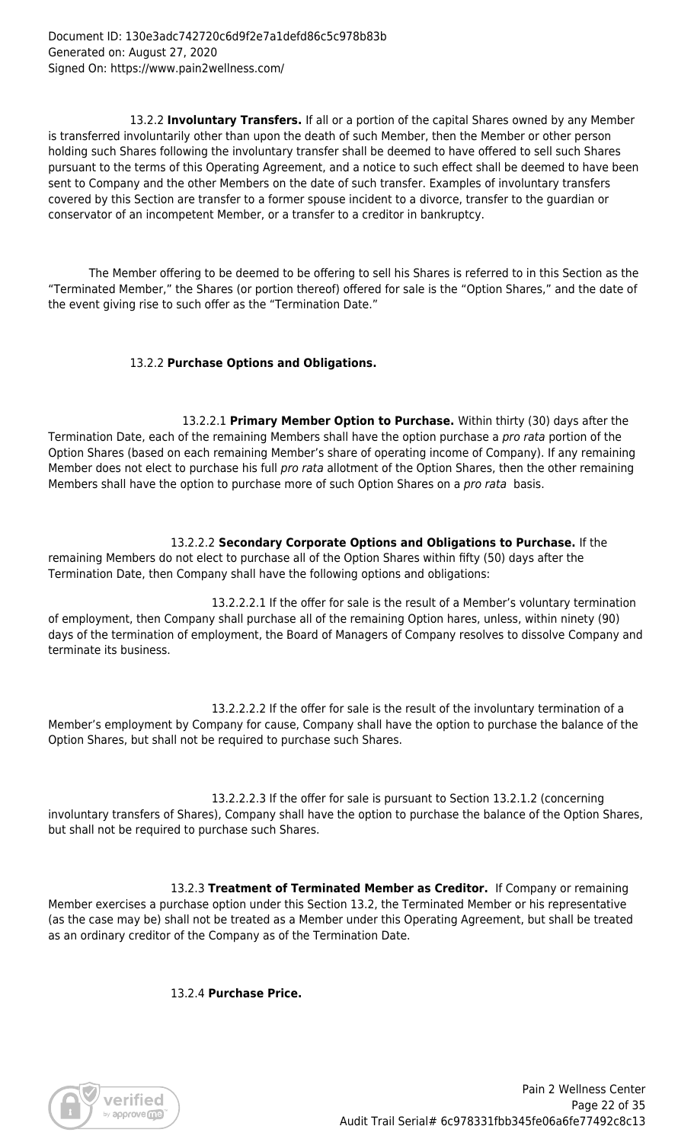13.2.2 **Involuntary Transfers.** If all or a portion of the capital Shares owned by any Member is transferred involuntarily other than upon the death of such Member, then the Member or other person holding such Shares following the involuntary transfer shall be deemed to have offered to sell such Shares pursuant to the terms of this Operating Agreement, and a notice to such effect shall be deemed to have been sent to Company and the other Members on the date of such transfer. Examples of involuntary transfers covered by this Section are transfer to a former spouse incident to a divorce, transfer to the guardian or conservator of an incompetent Member, or a transfer to a creditor in bankruptcy.

 The Member offering to be deemed to be offering to sell his Shares is referred to in this Section as the "Terminated Member," the Shares (or portion thereof) offered for sale is the "Option Shares," and the date of the event giving rise to such offer as the "Termination Date."

# 13.2.2 **Purchase Options and Obligations.**

13.2.2.1 **Primary Member Option to Purchase.** Within thirty (30) days after the Termination Date, each of the remaining Members shall have the option purchase a *pro rata* portion of the Option Shares (based on each remaining Member's share of operating income of Company). If any remaining Member does not elect to purchase his full pro rata allotment of the Option Shares, then the other remaining Members shall have the option to purchase more of such Option Shares on a pro rata basis.

 13.2.2.2 **Secondary Corporate Options and Obligations to Purchase.** If the remaining Members do not elect to purchase all of the Option Shares within fifty (50) days after the Termination Date, then Company shall have the following options and obligations:

 13.2.2.2.1 If the offer for sale is the result of a Member's voluntary termination of employment, then Company shall purchase all of the remaining Option hares, unless, within ninety (90) days of the termination of employment, the Board of Managers of Company resolves to dissolve Company and terminate its business.

 13.2.2.2.2 If the offer for sale is the result of the involuntary termination of a Member's employment by Company for cause, Company shall have the option to purchase the balance of the Option Shares, but shall not be required to purchase such Shares.

 13.2.2.2.3 If the offer for sale is pursuant to Section 13.2.1.2 (concerning involuntary transfers of Shares), Company shall have the option to purchase the balance of the Option Shares, but shall not be required to purchase such Shares.

 13.2.3 **Treatment of Terminated Member as Creditor.** If Company or remaining Member exercises a purchase option under this Section 13.2, the Terminated Member or his representative (as the case may be) shall not be treated as a Member under this Operating Agreement, but shall be treated as an ordinary creditor of the Company as of the Termination Date.

13.2.4 **Purchase Price.**

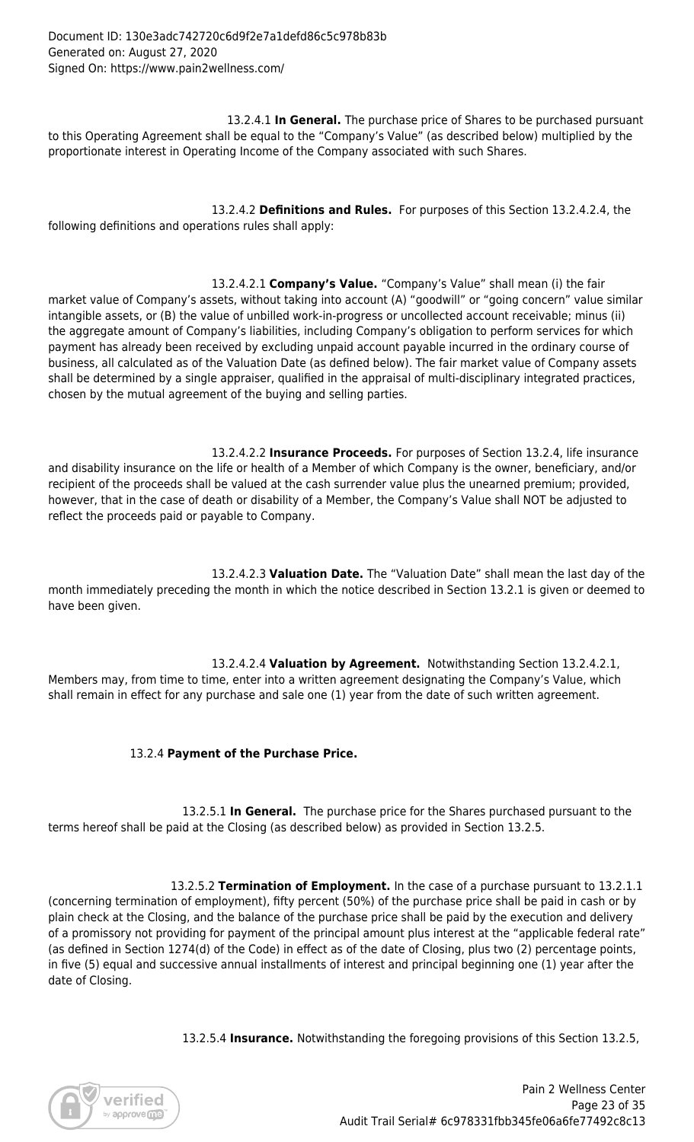13.2.4.1 **In General.** The purchase price of Shares to be purchased pursuant to this Operating Agreement shall be equal to the "Company's Value" (as described below) multiplied by the proportionate interest in Operating Income of the Company associated with such Shares.

 13.2.4.2 **Definitions and Rules.** For purposes of this Section 13.2.4.2.4, the following definitions and operations rules shall apply:

 13.2.4.2.1 **Company's Value.** "Company's Value" shall mean (i) the fair market value of Company's assets, without taking into account (A) "goodwill" or "going concern" value similar intangible assets, or (B) the value of unbilled work-in-progress or uncollected account receivable; minus (ii) the aggregate amount of Company's liabilities, including Company's obligation to perform services for which payment has already been received by excluding unpaid account payable incurred in the ordinary course of business, all calculated as of the Valuation Date (as defined below). The fair market value of Company assets shall be determined by a single appraiser, qualified in the appraisal of multi-disciplinary integrated practices, chosen by the mutual agreement of the buying and selling parties.

 13.2.4.2.2 **Insurance Proceeds.** For purposes of Section 13.2.4, life insurance and disability insurance on the life or health of a Member of which Company is the owner, beneficiary, and/or recipient of the proceeds shall be valued at the cash surrender value plus the unearned premium; provided, however, that in the case of death or disability of a Member, the Company's Value shall NOT be adjusted to reflect the proceeds paid or payable to Company.

 13.2.4.2.3 **Valuation Date.** The "Valuation Date" shall mean the last day of the month immediately preceding the month in which the notice described in Section 13.2.1 is given or deemed to have been given.

 13.2.4.2.4 **Valuation by Agreement.** Notwithstanding Section 13.2.4.2.1, Members may, from time to time, enter into a written agreement designating the Company's Value, which shall remain in effect for any purchase and sale one (1) year from the date of such written agreement.

# 13.2.4 **Payment of the Purchase Price.**

13.2.5.1 **In General.** The purchase price for the Shares purchased pursuant to the terms hereof shall be paid at the Closing (as described below) as provided in Section 13.2.5.

 13.2.5.2 **Termination of Employment.** In the case of a purchase pursuant to 13.2.1.1 (concerning termination of employment), fifty percent (50%) of the purchase price shall be paid in cash or by plain check at the Closing, and the balance of the purchase price shall be paid by the execution and delivery of a promissory not providing for payment of the principal amount plus interest at the "applicable federal rate" (as defined in Section 1274(d) of the Code) in effect as of the date of Closing, plus two (2) percentage points, in five (5) equal and successive annual installments of interest and principal beginning one (1) year after the date of Closing.

13.2.5.4 **Insurance.** Notwithstanding the foregoing provisions of this Section 13.2.5,

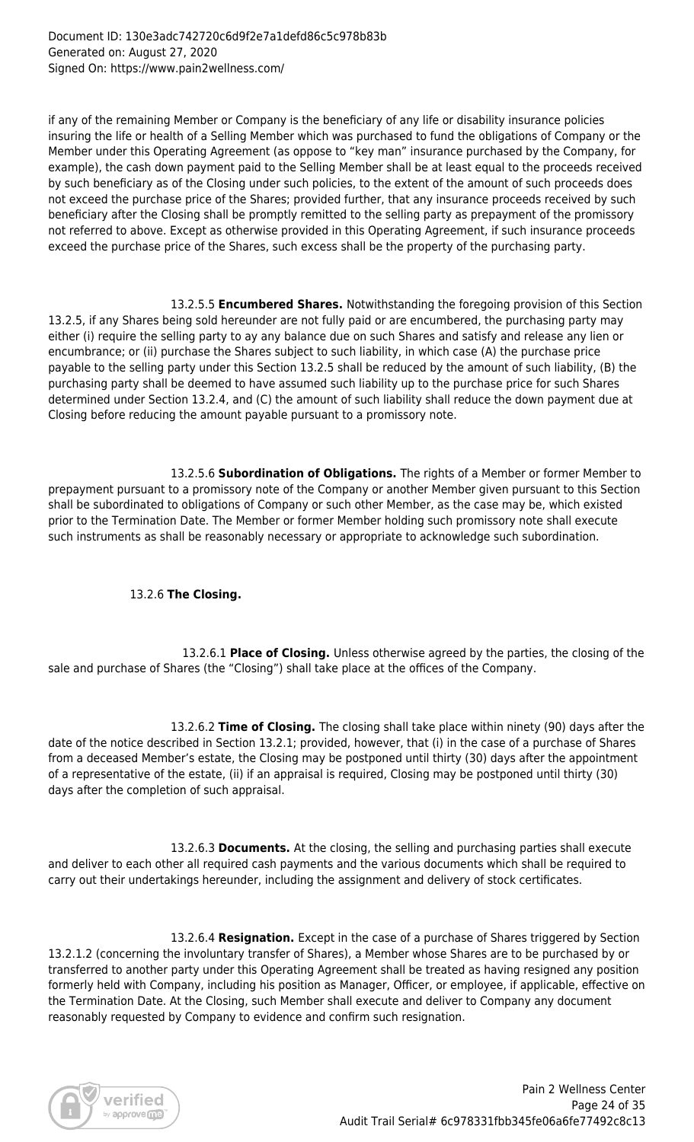if any of the remaining Member or Company is the beneficiary of any life or disability insurance policies insuring the life or health of a Selling Member which was purchased to fund the obligations of Company or the Member under this Operating Agreement (as oppose to "key man" insurance purchased by the Company, for example), the cash down payment paid to the Selling Member shall be at least equal to the proceeds received by such beneficiary as of the Closing under such policies, to the extent of the amount of such proceeds does not exceed the purchase price of the Shares; provided further, that any insurance proceeds received by such beneficiary after the Closing shall be promptly remitted to the selling party as prepayment of the promissory not referred to above. Except as otherwise provided in this Operating Agreement, if such insurance proceeds exceed the purchase price of the Shares, such excess shall be the property of the purchasing party.

 13.2.5.5 **Encumbered Shares.** Notwithstanding the foregoing provision of this Section 13.2.5, if any Shares being sold hereunder are not fully paid or are encumbered, the purchasing party may either (i) require the selling party to ay any balance due on such Shares and satisfy and release any lien or encumbrance; or (ii) purchase the Shares subject to such liability, in which case (A) the purchase price payable to the selling party under this Section 13.2.5 shall be reduced by the amount of such liability, (B) the purchasing party shall be deemed to have assumed such liability up to the purchase price for such Shares determined under Section 13.2.4, and (C) the amount of such liability shall reduce the down payment due at Closing before reducing the amount payable pursuant to a promissory note.

 13.2.5.6 **Subordination of Obligations.** The rights of a Member or former Member to prepayment pursuant to a promissory note of the Company or another Member given pursuant to this Section shall be subordinated to obligations of Company or such other Member, as the case may be, which existed prior to the Termination Date. The Member or former Member holding such promissory note shall execute such instruments as shall be reasonably necessary or appropriate to acknowledge such subordination.

# 13.2.6 **The Closing.**

13.2.6.1 **Place of Closing.** Unless otherwise agreed by the parties, the closing of the sale and purchase of Shares (the "Closing") shall take place at the offices of the Company.

 13.2.6.2 **Time of Closing.** The closing shall take place within ninety (90) days after the date of the notice described in Section 13.2.1; provided, however, that (i) in the case of a purchase of Shares from a deceased Member's estate, the Closing may be postponed until thirty (30) days after the appointment of a representative of the estate, (ii) if an appraisal is required, Closing may be postponed until thirty (30) days after the completion of such appraisal.

 13.2.6.3 **Documents.** At the closing, the selling and purchasing parties shall execute and deliver to each other all required cash payments and the various documents which shall be required to carry out their undertakings hereunder, including the assignment and delivery of stock certificates.

 13.2.6.4 **Resignation.** Except in the case of a purchase of Shares triggered by Section 13.2.1.2 (concerning the involuntary transfer of Shares), a Member whose Shares are to be purchased by or transferred to another party under this Operating Agreement shall be treated as having resigned any position formerly held with Company, including his position as Manager, Officer, or employee, if applicable, effective on the Termination Date. At the Closing, such Member shall execute and deliver to Company any document reasonably requested by Company to evidence and confirm such resignation.

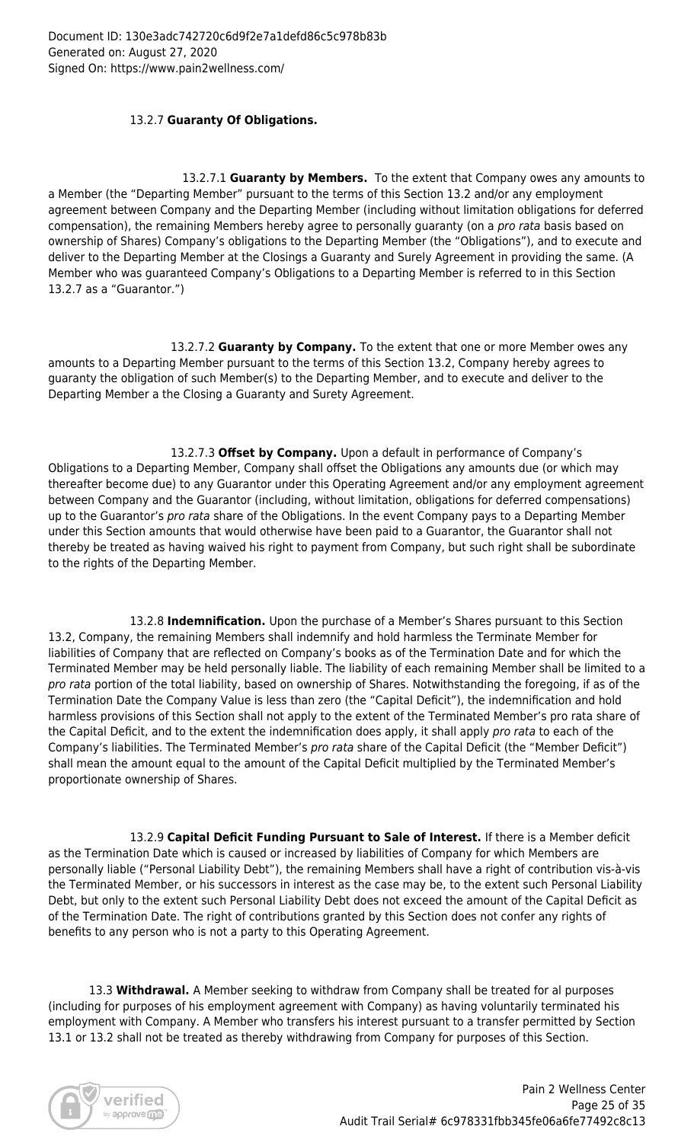# 13.2.7 **Guaranty Of Obligations.**

13.2.7.1 **Guaranty by Members.** To the extent that Company owes any amounts to a Member (the "Departing Member" pursuant to the terms of this Section 13.2 and/or any employment agreement between Company and the Departing Member (including without limitation obligations for deferred compensation), the remaining Members hereby agree to personally guaranty (on a pro rata basis based on ownership of Shares) Company's obligations to the Departing Member (the "Obligations"), and to execute and deliver to the Departing Member at the Closings a Guaranty and Surely Agreement in providing the same. (A Member who was guaranteed Company's Obligations to a Departing Member is referred to in this Section 13.2.7 as a "Guarantor.")

 13.2.7.2 **Guaranty by Company.** To the extent that one or more Member owes any amounts to a Departing Member pursuant to the terms of this Section 13.2, Company hereby agrees to guaranty the obligation of such Member(s) to the Departing Member, and to execute and deliver to the Departing Member a the Closing a Guaranty and Surety Agreement.

 13.2.7.3 **Offset by Company.** Upon a default in performance of Company's Obligations to a Departing Member, Company shall offset the Obligations any amounts due (or which may thereafter become due) to any Guarantor under this Operating Agreement and/or any employment agreement between Company and the Guarantor (including, without limitation, obligations for deferred compensations) up to the Guarantor's pro rata share of the Obligations. In the event Company pays to a Departing Member under this Section amounts that would otherwise have been paid to a Guarantor, the Guarantor shall not thereby be treated as having waived his right to payment from Company, but such right shall be subordinate to the rights of the Departing Member.

 13.2.8 **Indemnification.** Upon the purchase of a Member's Shares pursuant to this Section 13.2, Company, the remaining Members shall indemnify and hold harmless the Terminate Member for liabilities of Company that are reflected on Company's books as of the Termination Date and for which the Terminated Member may be held personally liable. The liability of each remaining Member shall be limited to a pro rata portion of the total liability, based on ownership of Shares. Notwithstanding the foregoing, if as of the Termination Date the Company Value is less than zero (the "Capital Deficit"), the indemnification and hold harmless provisions of this Section shall not apply to the extent of the Terminated Member's pro rata share of the Capital Deficit, and to the extent the indemnification does apply, it shall apply pro rata to each of the Company's liabilities. The Terminated Member's pro rata share of the Capital Deficit (the "Member Deficit") shall mean the amount equal to the amount of the Capital Deficit multiplied by the Terminated Member's proportionate ownership of Shares.

 13.2.9 **Capital Deficit Funding Pursuant to Sale of Interest.** If there is a Member deficit as the Termination Date which is caused or increased by liabilities of Company for which Members are personally liable ("Personal Liability Debt"), the remaining Members shall have a right of contribution vis-à-vis the Terminated Member, or his successors in interest as the case may be, to the extent such Personal Liability Debt, but only to the extent such Personal Liability Debt does not exceed the amount of the Capital Deficit as of the Termination Date. The right of contributions granted by this Section does not confer any rights of benefits to any person who is not a party to this Operating Agreement.

 13.3 **Withdrawal.** A Member seeking to withdraw from Company shall be treated for al purposes (including for purposes of his employment agreement with Company) as having voluntarily terminated his employment with Company. A Member who transfers his interest pursuant to a transfer permitted by Section 13.1 or 13.2 shall not be treated as thereby withdrawing from Company for purposes of this Section.

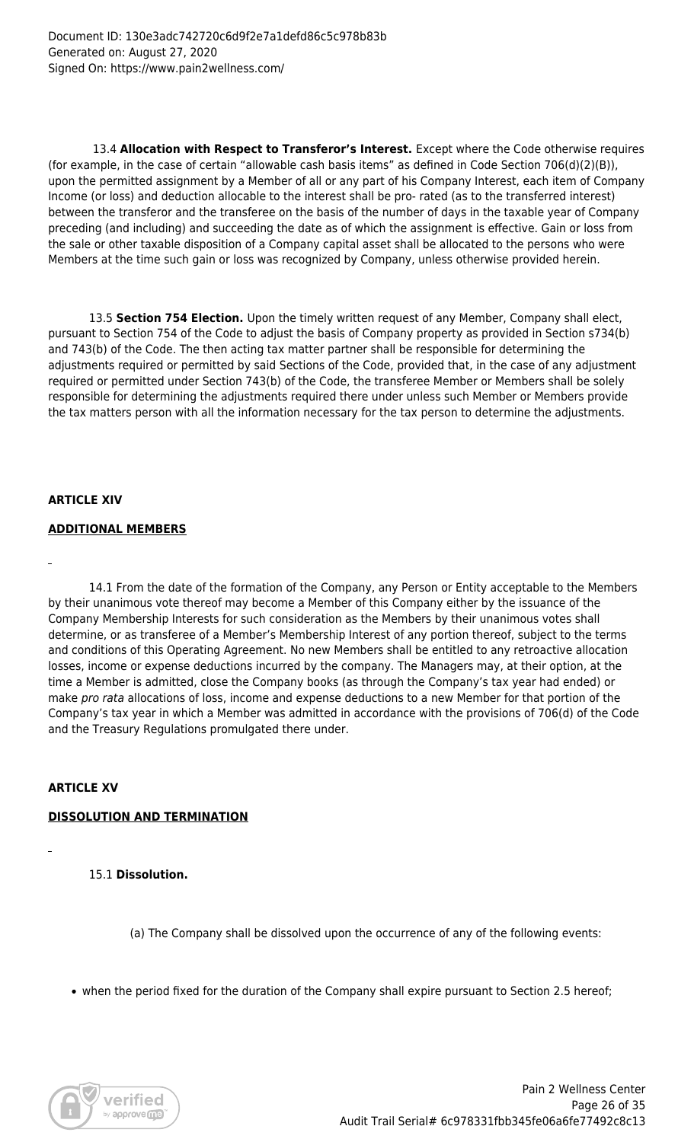13.4 **Allocation with Respect to Transferor's Interest.** Except where the Code otherwise requires (for example, in the case of certain "allowable cash basis items" as defined in Code Section 706(d)(2)(B)), upon the permitted assignment by a Member of all or any part of his Company Interest, each item of Company Income (or loss) and deduction allocable to the interest shall be pro- rated (as to the transferred interest) between the transferor and the transferee on the basis of the number of days in the taxable year of Company preceding (and including) and succeeding the date as of which the assignment is effective. Gain or loss from the sale or other taxable disposition of a Company capital asset shall be allocated to the persons who were Members at the time such gain or loss was recognized by Company, unless otherwise provided herein.

 13.5 **Section 754 Election.** Upon the timely written request of any Member, Company shall elect, pursuant to Section 754 of the Code to adjust the basis of Company property as provided in Section s734(b) and 743(b) of the Code. The then acting tax matter partner shall be responsible for determining the adjustments required or permitted by said Sections of the Code, provided that, in the case of any adjustment required or permitted under Section 743(b) of the Code, the transferee Member or Members shall be solely responsible for determining the adjustments required there under unless such Member or Members provide the tax matters person with all the information necessary for the tax person to determine the adjustments.

# **ARTICLE XIV**

# **ADDITIONAL MEMBERS**

 14.1 From the date of the formation of the Company, any Person or Entity acceptable to the Members by their unanimous vote thereof may become a Member of this Company either by the issuance of the Company Membership Interests for such consideration as the Members by their unanimous votes shall determine, or as transferee of a Member's Membership Interest of any portion thereof, subject to the terms and conditions of this Operating Agreement. No new Members shall be entitled to any retroactive allocation losses, income or expense deductions incurred by the company. The Managers may, at their option, at the time a Member is admitted, close the Company books (as through the Company's tax year had ended) or make pro rata allocations of loss, income and expense deductions to a new Member for that portion of the Company's tax year in which a Member was admitted in accordance with the provisions of 706(d) of the Code and the Treasury Regulations promulgated there under.

# **ARTICLE XV**

# **DISSOLUTION AND TERMINATION**

15.1 **Dissolution.**

(a) The Company shall be dissolved upon the occurrence of any of the following events:

• when the period fixed for the duration of the Company shall expire pursuant to Section 2.5 hereof;

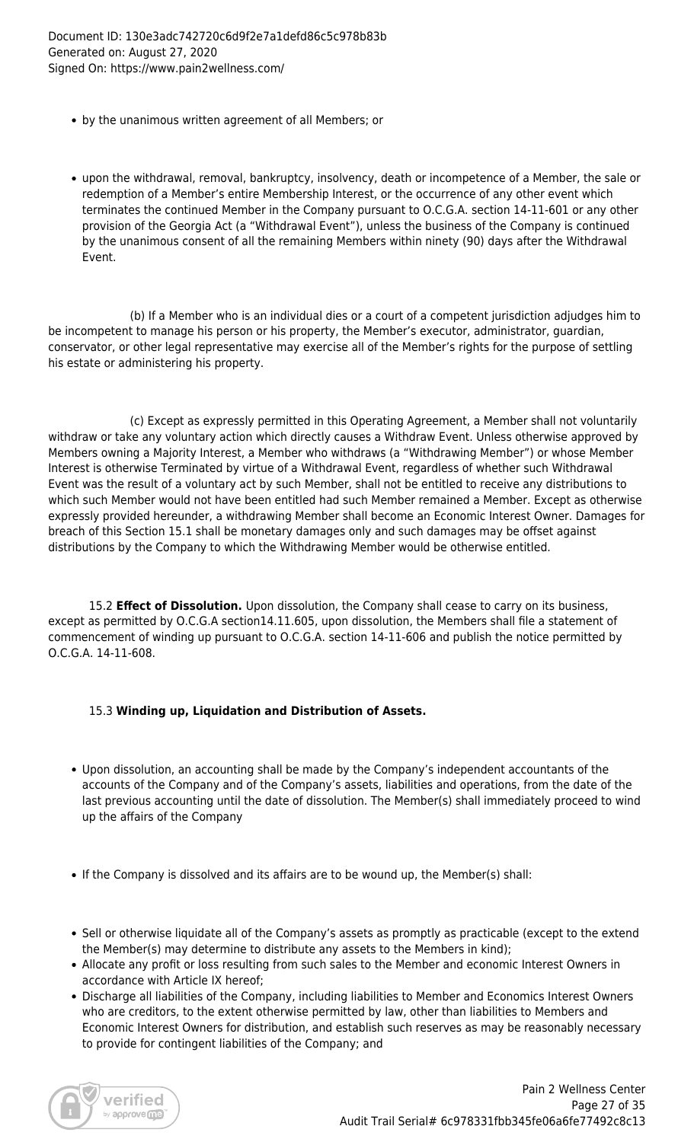Document ID: 130e3adc742720c6d9f2e7a1defd86c5c978b83b Generated on: August 27, 2020 Signed On: https://www.pain2wellness.com/

- by the unanimous written agreement of all Members; or
- upon the withdrawal, removal, bankruptcy, insolvency, death or incompetence of a Member, the sale or redemption of a Member's entire Membership Interest, or the occurrence of any other event which terminates the continued Member in the Company pursuant to O.C.G.A. section 14-11-601 or any other provision of the Georgia Act (a "Withdrawal Event"), unless the business of the Company is continued by the unanimous consent of all the remaining Members within ninety (90) days after the Withdrawal Event.

 (b) If a Member who is an individual dies or a court of a competent jurisdiction adjudges him to be incompetent to manage his person or his property, the Member's executor, administrator, guardian, conservator, or other legal representative may exercise all of the Member's rights for the purpose of settling his estate or administering his property.

 (c) Except as expressly permitted in this Operating Agreement, a Member shall not voluntarily withdraw or take any voluntary action which directly causes a Withdraw Event. Unless otherwise approved by Members owning a Majority Interest, a Member who withdraws (a "Withdrawing Member") or whose Member Interest is otherwise Terminated by virtue of a Withdrawal Event, regardless of whether such Withdrawal Event was the result of a voluntary act by such Member, shall not be entitled to receive any distributions to which such Member would not have been entitled had such Member remained a Member. Except as otherwise expressly provided hereunder, a withdrawing Member shall become an Economic Interest Owner. Damages for breach of this Section 15.1 shall be monetary damages only and such damages may be offset against distributions by the Company to which the Withdrawing Member would be otherwise entitled.

 15.2 **Effect of Dissolution.** Upon dissolution, the Company shall cease to carry on its business, except as permitted by O.C.G.A section14.11.605, upon dissolution, the Members shall file a statement of commencement of winding up pursuant to O.C.G.A. section 14-11-606 and publish the notice permitted by O.C.G.A. 14-11-608.

# 15.3 **Winding up, Liquidation and Distribution of Assets.**

- Upon dissolution, an accounting shall be made by the Company's independent accountants of the accounts of the Company and of the Company's assets, liabilities and operations, from the date of the last previous accounting until the date of dissolution. The Member(s) shall immediately proceed to wind up the affairs of the Company
- If the Company is dissolved and its affairs are to be wound up, the Member(s) shall:
- Sell or otherwise liquidate all of the Company's assets as promptly as practicable (except to the extend the Member(s) may determine to distribute any assets to the Members in kind);
- Allocate any profit or loss resulting from such sales to the Member and economic Interest Owners in accordance with Article IX hereof;
- Discharge all liabilities of the Company, including liabilities to Member and Economics Interest Owners who are creditors, to the extent otherwise permitted by law, other than liabilities to Members and Economic Interest Owners for distribution, and establish such reserves as may be reasonably necessary to provide for contingent liabilities of the Company; and

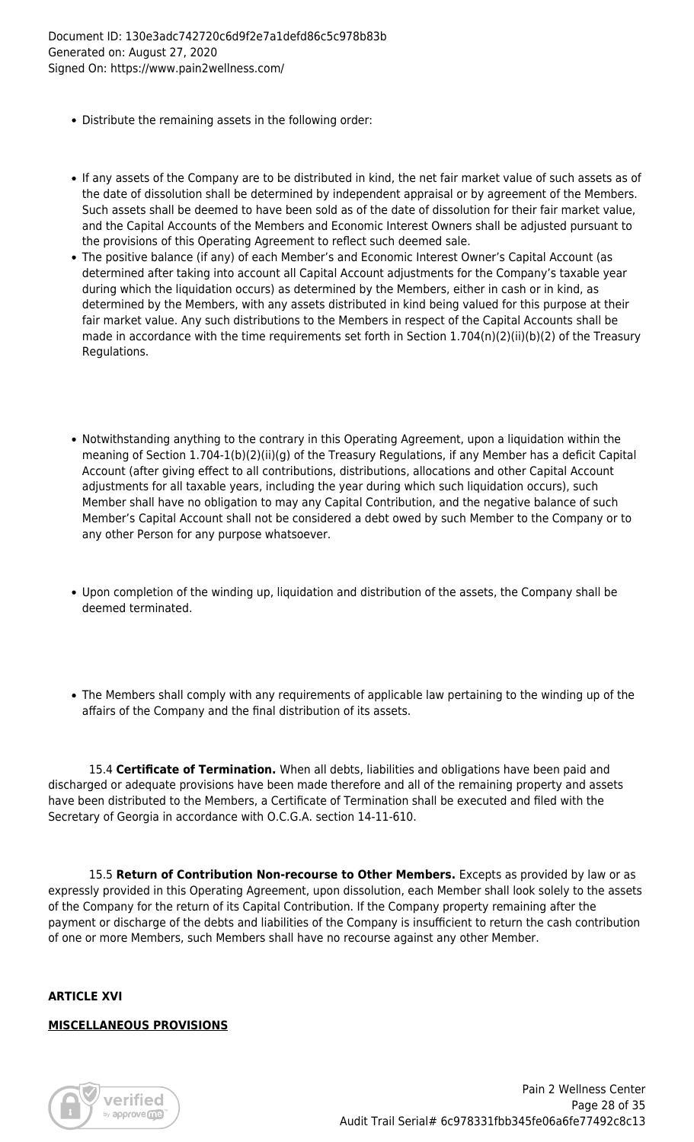- Distribute the remaining assets in the following order:
- If any assets of the Company are to be distributed in kind, the net fair market value of such assets as of the date of dissolution shall be determined by independent appraisal or by agreement of the Members. Such assets shall be deemed to have been sold as of the date of dissolution for their fair market value, and the Capital Accounts of the Members and Economic Interest Owners shall be adjusted pursuant to the provisions of this Operating Agreement to reflect such deemed sale.
- The positive balance (if any) of each Member's and Economic Interest Owner's Capital Account (as determined after taking into account all Capital Account adjustments for the Company's taxable year during which the liquidation occurs) as determined by the Members, either in cash or in kind, as determined by the Members, with any assets distributed in kind being valued for this purpose at their fair market value. Any such distributions to the Members in respect of the Capital Accounts shall be made in accordance with the time requirements set forth in Section 1.704(n)(2)(ii)(b)(2) of the Treasury Regulations.
- Notwithstanding anything to the contrary in this Operating Agreement, upon a liquidation within the meaning of Section 1.704-1(b)(2)(ii)(g) of the Treasury Regulations, if any Member has a deficit Capital Account (after giving effect to all contributions, distributions, allocations and other Capital Account adjustments for all taxable years, including the year during which such liquidation occurs), such Member shall have no obligation to may any Capital Contribution, and the negative balance of such Member's Capital Account shall not be considered a debt owed by such Member to the Company or to any other Person for any purpose whatsoever.
- Upon completion of the winding up, liquidation and distribution of the assets, the Company shall be deemed terminated.
- The Members shall comply with any requirements of applicable law pertaining to the winding up of the affairs of the Company and the final distribution of its assets.

 15.4 **Certificate of Termination.** When all debts, liabilities and obligations have been paid and discharged or adequate provisions have been made therefore and all of the remaining property and assets have been distributed to the Members, a Certificate of Termination shall be executed and filed with the Secretary of Georgia in accordance with O.C.G.A. section 14-11-610.

 15.5 **Return of Contribution Non-recourse to Other Members.** Excepts as provided by law or as expressly provided in this Operating Agreement, upon dissolution, each Member shall look solely to the assets of the Company for the return of its Capital Contribution. If the Company property remaining after the payment or discharge of the debts and liabilities of the Company is insufficient to return the cash contribution of one or more Members, such Members shall have no recourse against any other Member.

#### **ARTICLE XVI**

#### **MISCELLANEOUS PROVISIONS**

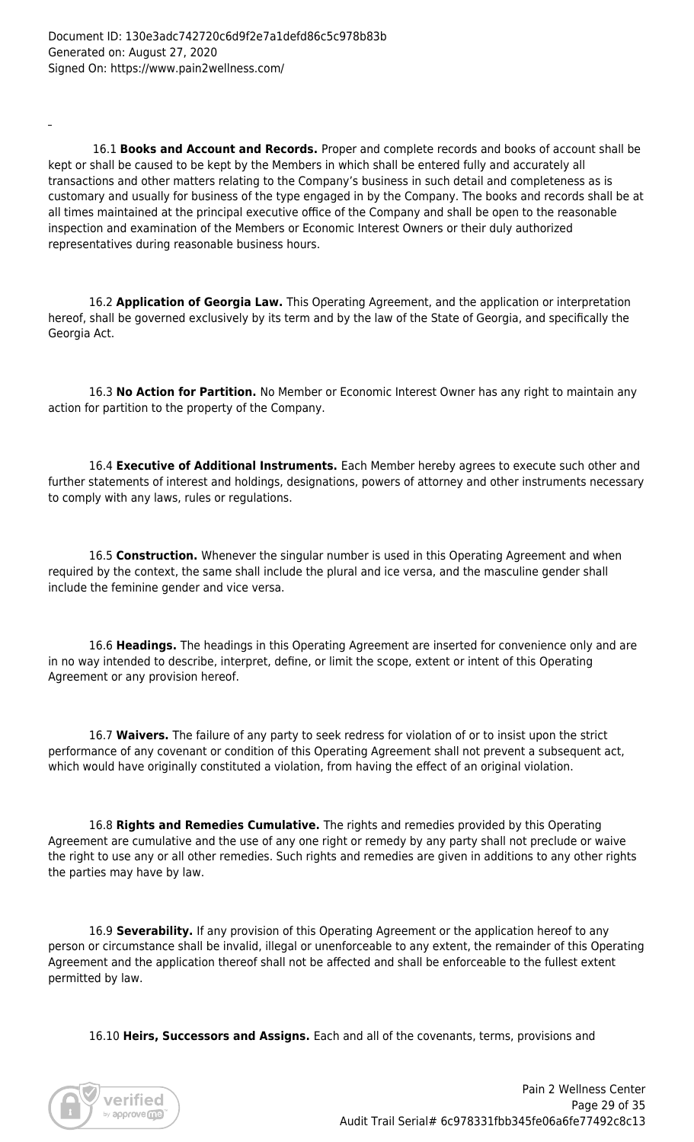16.1 **Books and Account and Records.** Proper and complete records and books of account shall be kept or shall be caused to be kept by the Members in which shall be entered fully and accurately all transactions and other matters relating to the Company's business in such detail and completeness as is customary and usually for business of the type engaged in by the Company. The books and records shall be at all times maintained at the principal executive office of the Company and shall be open to the reasonable inspection and examination of the Members or Economic Interest Owners or their duly authorized representatives during reasonable business hours.

 16.2 **Application of Georgia Law.** This Operating Agreement, and the application or interpretation hereof, shall be governed exclusively by its term and by the law of the State of Georgia, and specifically the Georgia Act.

 16.3 **No Action for Partition.** No Member or Economic Interest Owner has any right to maintain any action for partition to the property of the Company.

 16.4 **Executive of Additional Instruments.** Each Member hereby agrees to execute such other and further statements of interest and holdings, designations, powers of attorney and other instruments necessary to comply with any laws, rules or regulations.

 16.5 **Construction.** Whenever the singular number is used in this Operating Agreement and when required by the context, the same shall include the plural and ice versa, and the masculine gender shall include the feminine gender and vice versa.

 16.6 **Headings.** The headings in this Operating Agreement are inserted for convenience only and are in no way intended to describe, interpret, define, or limit the scope, extent or intent of this Operating Agreement or any provision hereof.

 16.7 **Waivers.** The failure of any party to seek redress for violation of or to insist upon the strict performance of any covenant or condition of this Operating Agreement shall not prevent a subsequent act, which would have originally constituted a violation, from having the effect of an original violation.

 16.8 **Rights and Remedies Cumulative.** The rights and remedies provided by this Operating Agreement are cumulative and the use of any one right or remedy by any party shall not preclude or waive the right to use any or all other remedies. Such rights and remedies are given in additions to any other rights the parties may have by law.

 16.9 **Severability.** If any provision of this Operating Agreement or the application hereof to any person or circumstance shall be invalid, illegal or unenforceable to any extent, the remainder of this Operating Agreement and the application thereof shall not be affected and shall be enforceable to the fullest extent permitted by law.

16.10 **Heirs, Successors and Assigns.** Each and all of the covenants, terms, provisions and

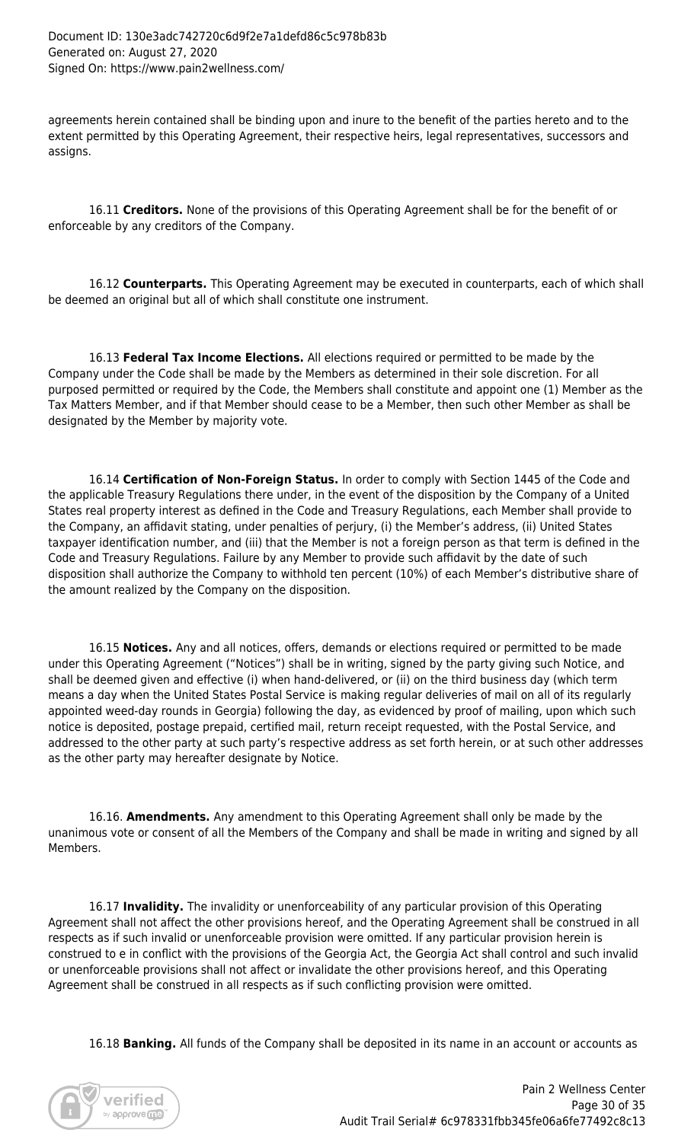agreements herein contained shall be binding upon and inure to the benefit of the parties hereto and to the extent permitted by this Operating Agreement, their respective heirs, legal representatives, successors and assigns.

 16.11 **Creditors.** None of the provisions of this Operating Agreement shall be for the benefit of or enforceable by any creditors of the Company.

 16.12 **Counterparts.** This Operating Agreement may be executed in counterparts, each of which shall be deemed an original but all of which shall constitute one instrument.

 16.13 **Federal Tax Income Elections.** All elections required or permitted to be made by the Company under the Code shall be made by the Members as determined in their sole discretion. For all purposed permitted or required by the Code, the Members shall constitute and appoint one (1) Member as the Tax Matters Member, and if that Member should cease to be a Member, then such other Member as shall be designated by the Member by majority vote.

 16.14 **Certification of Non-Foreign Status.** In order to comply with Section 1445 of the Code and the applicable Treasury Regulations there under, in the event of the disposition by the Company of a United States real property interest as defined in the Code and Treasury Regulations, each Member shall provide to the Company, an affidavit stating, under penalties of perjury, (i) the Member's address, (ii) United States taxpayer identification number, and (iii) that the Member is not a foreign person as that term is defined in the Code and Treasury Regulations. Failure by any Member to provide such affidavit by the date of such disposition shall authorize the Company to withhold ten percent (10%) of each Member's distributive share of the amount realized by the Company on the disposition.

 16.15 **Notices.** Any and all notices, offers, demands or elections required or permitted to be made under this Operating Agreement ("Notices") shall be in writing, signed by the party giving such Notice, and shall be deemed given and effective (i) when hand-delivered, or (ii) on the third business day (which term means a day when the United States Postal Service is making regular deliveries of mail on all of its regularly appointed weed-day rounds in Georgia) following the day, as evidenced by proof of mailing, upon which such notice is deposited, postage prepaid, certified mail, return receipt requested, with the Postal Service, and addressed to the other party at such party's respective address as set forth herein, or at such other addresses as the other party may hereafter designate by Notice.

 16.16. **Amendments.** Any amendment to this Operating Agreement shall only be made by the unanimous vote or consent of all the Members of the Company and shall be made in writing and signed by all Members.

 16.17 **Invalidity.** The invalidity or unenforceability of any particular provision of this Operating Agreement shall not affect the other provisions hereof, and the Operating Agreement shall be construed in all respects as if such invalid or unenforceable provision were omitted. If any particular provision herein is construed to e in conflict with the provisions of the Georgia Act, the Georgia Act shall control and such invalid or unenforceable provisions shall not affect or invalidate the other provisions hereof, and this Operating Agreement shall be construed in all respects as if such conflicting provision were omitted.

16.18 **Banking.** All funds of the Company shall be deposited in its name in an account or accounts as

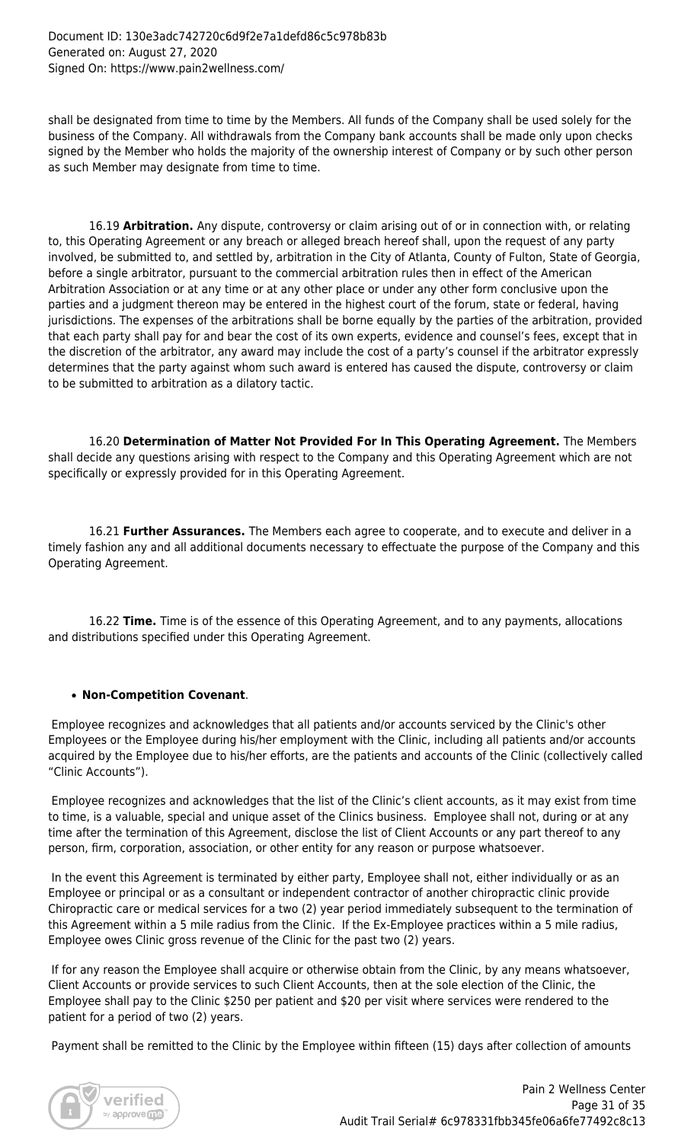shall be designated from time to time by the Members. All funds of the Company shall be used solely for the business of the Company. All withdrawals from the Company bank accounts shall be made only upon checks signed by the Member who holds the majority of the ownership interest of Company or by such other person as such Member may designate from time to time.

 16.19 **Arbitration.** Any dispute, controversy or claim arising out of or in connection with, or relating to, this Operating Agreement or any breach or alleged breach hereof shall, upon the request of any party involved, be submitted to, and settled by, arbitration in the City of Atlanta, County of Fulton, State of Georgia, before a single arbitrator, pursuant to the commercial arbitration rules then in effect of the American Arbitration Association or at any time or at any other place or under any other form conclusive upon the parties and a judgment thereon may be entered in the highest court of the forum, state or federal, having jurisdictions. The expenses of the arbitrations shall be borne equally by the parties of the arbitration, provided that each party shall pay for and bear the cost of its own experts, evidence and counsel's fees, except that in the discretion of the arbitrator, any award may include the cost of a party's counsel if the arbitrator expressly determines that the party against whom such award is entered has caused the dispute, controversy or claim to be submitted to arbitration as a dilatory tactic.

 16.20 **Determination of Matter Not Provided For In This Operating Agreement.** The Members shall decide any questions arising with respect to the Company and this Operating Agreement which are not specifically or expressly provided for in this Operating Agreement.

 16.21 **Further Assurances.** The Members each agree to cooperate, and to execute and deliver in a timely fashion any and all additional documents necessary to effectuate the purpose of the Company and this Operating Agreement.

 16.22 **Time.** Time is of the essence of this Operating Agreement, and to any payments, allocations and distributions specified under this Operating Agreement.

# **Non-Competition Covenant**.

 Employee recognizes and acknowledges that all patients and/or accounts serviced by the Clinic's other Employees or the Employee during his/her employment with the Clinic, including all patients and/or accounts acquired by the Employee due to his/her efforts, are the patients and accounts of the Clinic (collectively called "Clinic Accounts").

 Employee recognizes and acknowledges that the list of the Clinic's client accounts, as it may exist from time to time, is a valuable, special and unique asset of the Clinics business. Employee shall not, during or at any time after the termination of this Agreement, disclose the list of Client Accounts or any part thereof to any person, firm, corporation, association, or other entity for any reason or purpose whatsoever.

 In the event this Agreement is terminated by either party, Employee shall not, either individually or as an Employee or principal or as a consultant or independent contractor of another chiropractic clinic provide Chiropractic care or medical services for a two (2) year period immediately subsequent to the termination of this Agreement within a 5 mile radius from the Clinic. If the Ex-Employee practices within a 5 mile radius, Employee owes Clinic gross revenue of the Clinic for the past two (2) years.

 If for any reason the Employee shall acquire or otherwise obtain from the Clinic, by any means whatsoever, Client Accounts or provide services to such Client Accounts, then at the sole election of the Clinic, the Employee shall pay to the Clinic \$250 per patient and \$20 per visit where services were rendered to the patient for a period of two (2) years.

Payment shall be remitted to the Clinic by the Employee within fifteen (15) days after collection of amounts

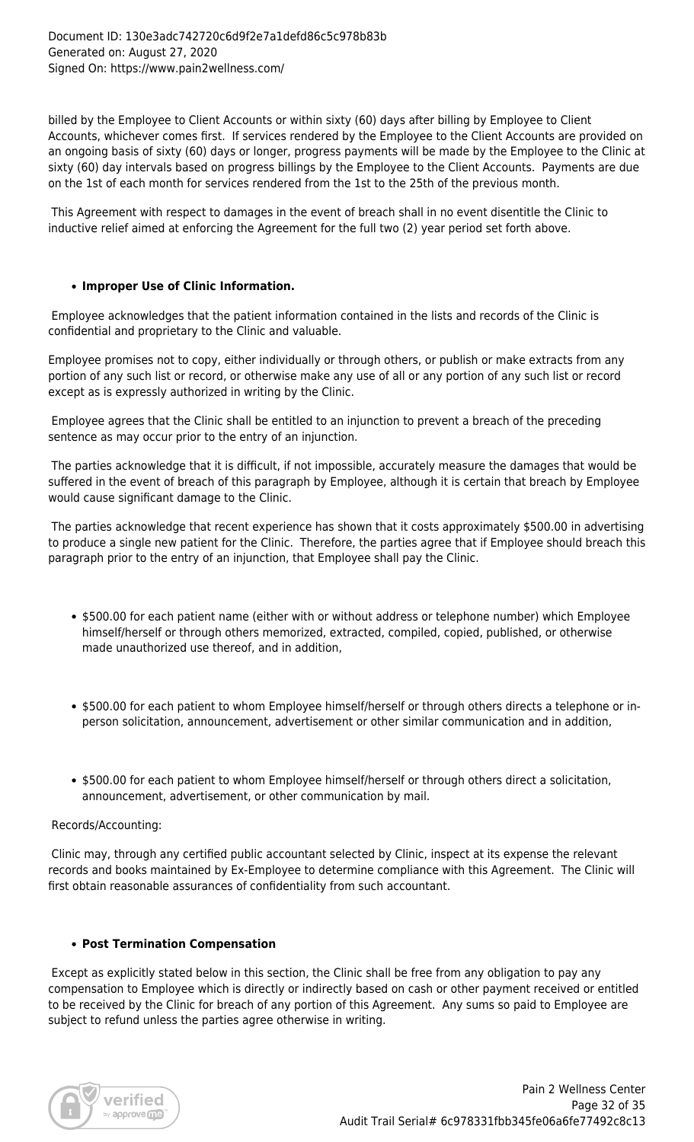billed by the Employee to Client Accounts or within sixty (60) days after billing by Employee to Client Accounts, whichever comes first. If services rendered by the Employee to the Client Accounts are provided on an ongoing basis of sixty (60) days or longer, progress payments will be made by the Employee to the Clinic at sixty (60) day intervals based on progress billings by the Employee to the Client Accounts. Payments are due on the 1st of each month for services rendered from the 1st to the 25th of the previous month.

 This Agreement with respect to damages in the event of breach shall in no event disentitle the Clinic to inductive relief aimed at enforcing the Agreement for the full two (2) year period set forth above.

# **Improper Use of Clinic Information.**

 Employee acknowledges that the patient information contained in the lists and records of the Clinic is confidential and proprietary to the Clinic and valuable.

Employee promises not to copy, either individually or through others, or publish or make extracts from any portion of any such list or record, or otherwise make any use of all or any portion of any such list or record except as is expressly authorized in writing by the Clinic.

 Employee agrees that the Clinic shall be entitled to an injunction to prevent a breach of the preceding sentence as may occur prior to the entry of an injunction.

 The parties acknowledge that it is difficult, if not impossible, accurately measure the damages that would be suffered in the event of breach of this paragraph by Employee, although it is certain that breach by Employee would cause significant damage to the Clinic.

 The parties acknowledge that recent experience has shown that it costs approximately \$500.00 in advertising to produce a single new patient for the Clinic. Therefore, the parties agree that if Employee should breach this paragraph prior to the entry of an injunction, that Employee shall pay the Clinic.

- \$500.00 for each patient name (either with or without address or telephone number) which Employee himself/herself or through others memorized, extracted, compiled, copied, published, or otherwise made unauthorized use thereof, and in addition,
- \$500.00 for each patient to whom Employee himself/herself or through others directs a telephone or inperson solicitation, announcement, advertisement or other similar communication and in addition,
- \$500.00 for each patient to whom Employee himself/herself or through others direct a solicitation, announcement, advertisement, or other communication by mail.

#### Records/Accounting:

 Clinic may, through any certified public accountant selected by Clinic, inspect at its expense the relevant records and books maintained by Ex-Employee to determine compliance with this Agreement. The Clinic will first obtain reasonable assurances of confidentiality from such accountant.

#### **Post Termination Compensation**

 Except as explicitly stated below in this section, the Clinic shall be free from any obligation to pay any compensation to Employee which is directly or indirectly based on cash or other payment received or entitled to be received by the Clinic for breach of any portion of this Agreement. Any sums so paid to Employee are subject to refund unless the parties agree otherwise in writing.

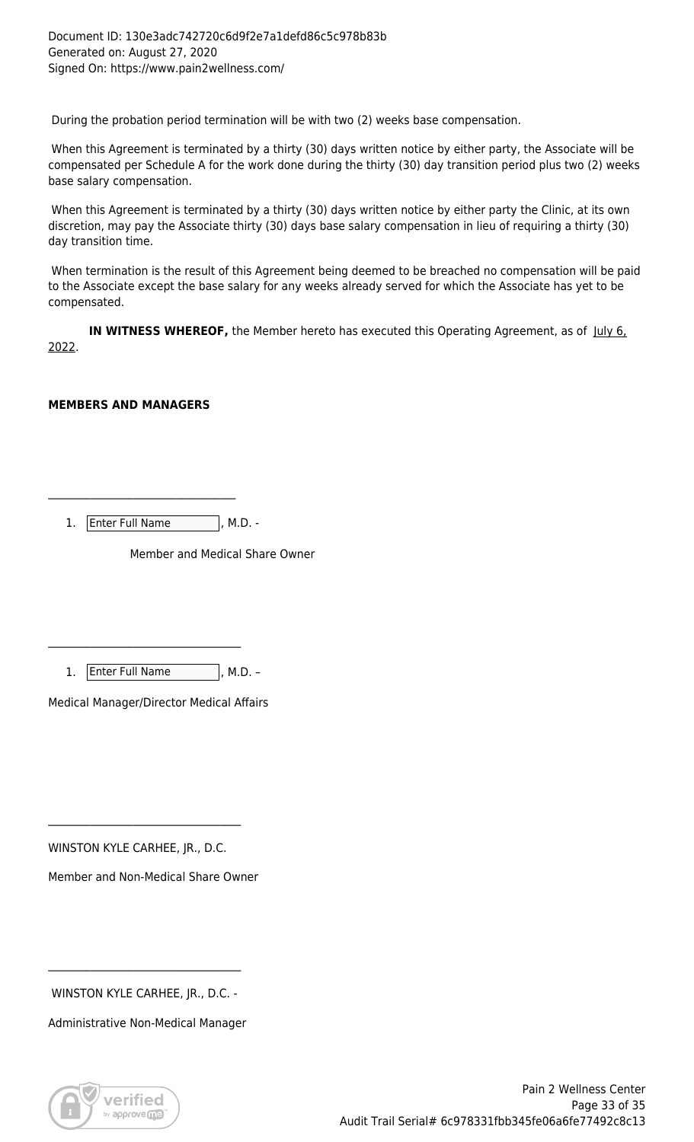During the probation period termination will be with two (2) weeks base compensation.

 When this Agreement is terminated by a thirty (30) days written notice by either party, the Associate will be compensated per Schedule A for the work done during the thirty (30) day transition period plus two (2) weeks base salary compensation.

 When this Agreement is terminated by a thirty (30) days written notice by either party the Clinic, at its own discretion, may pay the Associate thirty (30) days base salary compensation in lieu of requiring a thirty (30) day transition time.

 When termination is the result of this Agreement being deemed to be breached no compensation will be paid to the Associate except the base salary for any weeks already served for which the Associate has yet to be compensated.

**IN WITNESS WHEREOF,** the Member hereto has executed this Operating Agreement, as of July 6, 2022.

# **MEMBERS AND MANAGERS**

1. Enter Full Name , M.D. -

\_\_\_\_\_\_\_\_\_\_\_\_\_\_\_\_\_\_\_\_\_\_\_\_\_\_\_\_\_\_\_\_\_\_\_

Member and Medical Share Owner

1. Enter Full Name , M.D. -

\_\_\_\_\_\_\_\_\_\_\_\_\_\_\_\_\_\_\_\_\_\_\_\_\_\_\_\_\_\_\_\_\_\_\_\_

Medical Manager/Director Medical Affairs

WINSTON KYLE CARHEE, JR., D.C.

\_\_\_\_\_\_\_\_\_\_\_\_\_\_\_\_\_\_\_\_\_\_\_\_\_\_\_\_\_\_\_\_\_\_\_\_

Member and Non-Medical Share Owner

WINSTON KYLE CARHEE, JR., D.C. -

\_\_\_\_\_\_\_\_\_\_\_\_\_\_\_\_\_\_\_\_\_\_\_\_\_\_\_\_\_\_\_\_\_\_\_\_

Administrative Non-Medical Manager

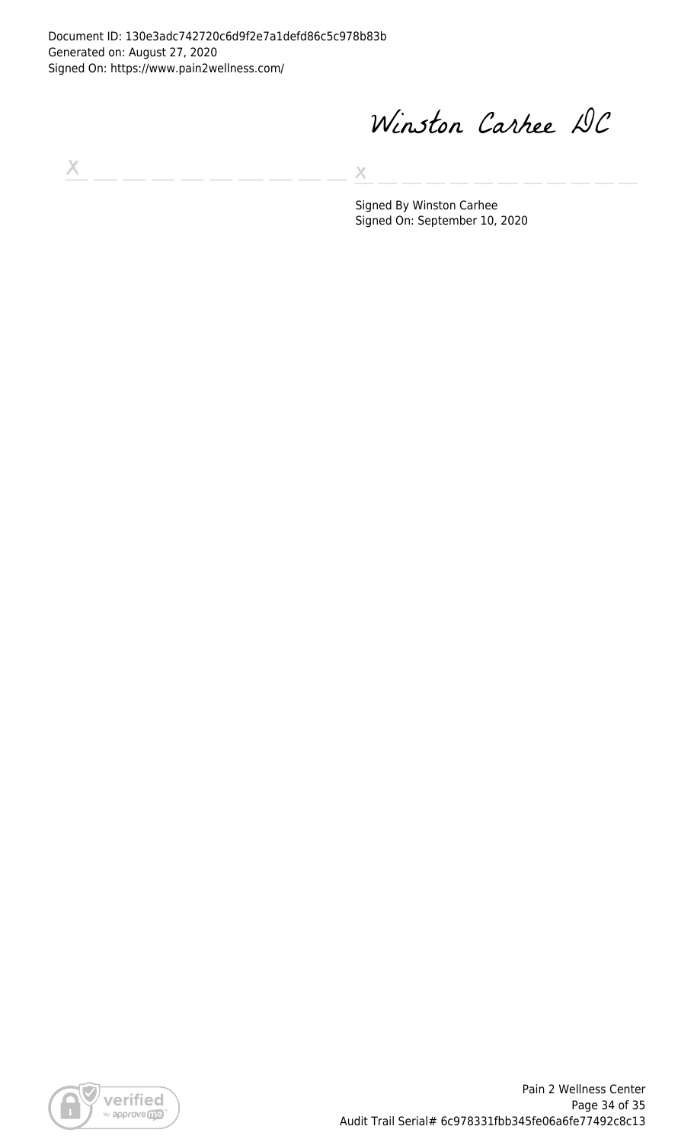Document ID: 130e3adc742720c6d9f2e7a1defd86c5c978b83b Generated on: August 27, 2020 Signed On: https://www.pain2wellness.com/

Winston Carkee DC

 $\boldsymbol{\times}$ 

X

Signed By Winston Carhee Signed On: September 10, 2020